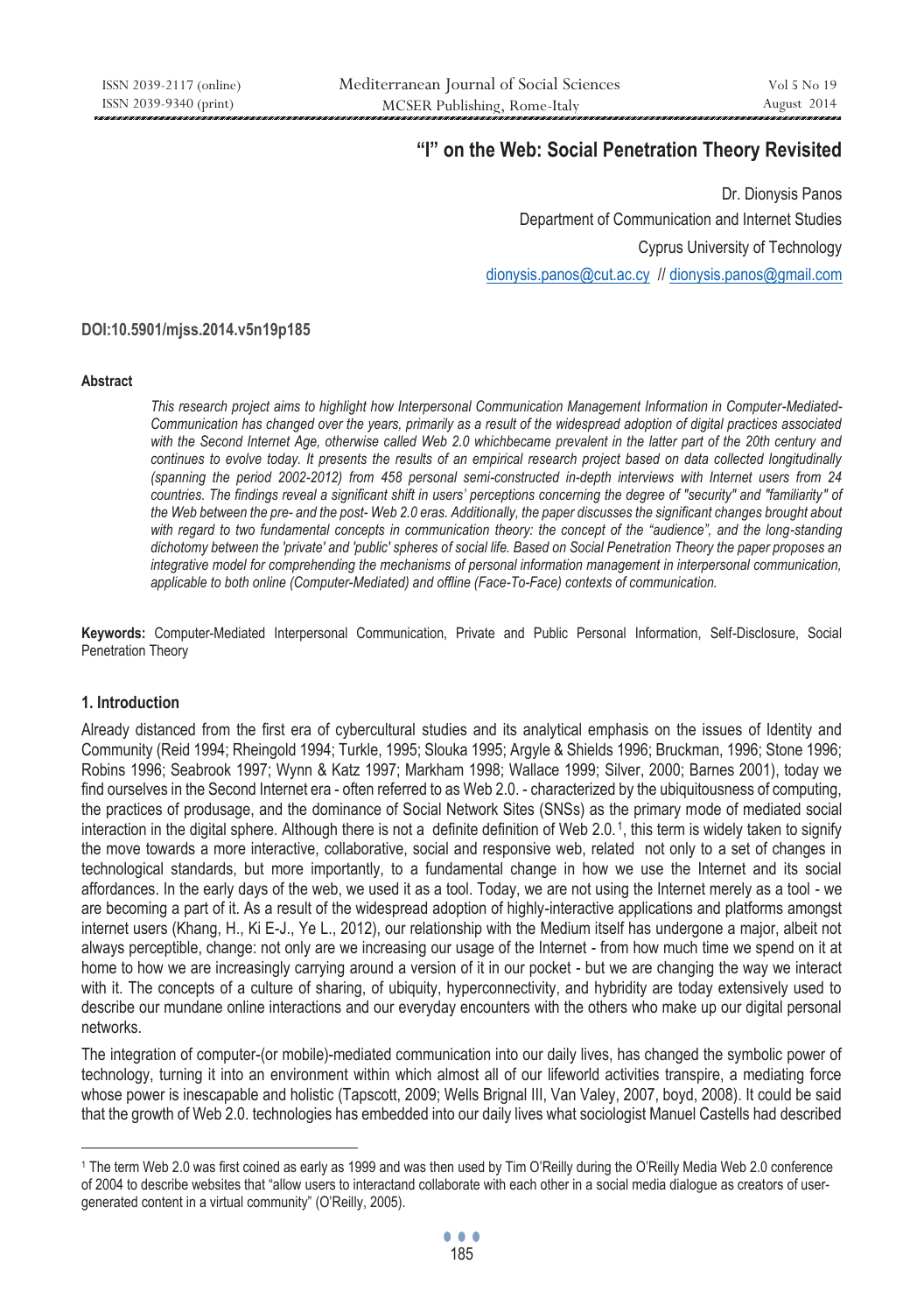# **"I" on the Web: Social Penetration Theory Revisited**

Dr. Dionysis Panos Department of Communication and Internet Studies Cyprus University of Technology dionysis.panos@cut.ac.cy // dionysis.panos@gmail.com

#### **DOI:10.5901/mjss.2014.v5n19p185**

#### **Abstract**

*This research project aims to highlight how Interpersonal Communication Management Information in Computer-Mediated-Communication has changed over the years, primarily as a result of the widespread adoption of digital practices associated with the Second Internet Age, otherwise called Web 2.0 whichbecame prevalent in the latter part of the 20th century and continues to evolve today. It presents the results of an empirical research project based on data collected longitudinally (spanning the period 2002-2012) from 458 personal semi-constructed in-depth interviews with Internet users from 24 countries. The findings reveal a significant shift in users' perceptions concerning the degree of "security" and "familiarity" of the Web between the pre- and the post- Web 2.0 eras. Additionally, the paper discusses the significant changes brought about*  with regard to two fundamental concepts in communication theory: the concept of the "audience", and the long-standing *dichotomy between the 'private' and 'public' spheres of social life. Based on Social Penetration Theory the paper proposes an*  integrative model for comprehending the mechanisms of personal information management in interpersonal communication, *applicable to both online (Computer-Mediated) and offline (Face-To-Face) contexts of communication.* 

**Keywords:** Computer-Mediated Interpersonal Communication, Private and Public Personal Information, Self-Disclosure, Social Penetration Theory

#### **1. Introduction**

 $\overline{a}$ 

Already distanced from the first era of cybercultural studies and its analytical emphasis on the issues of Identity and Community (Reid 1994; Rheingold 1994; Turkle, 1995; Slouka 1995; Argyle & Shields 1996; Bruckman, 1996; Stone 1996; Robins 1996; Seabrook 1997; Wynn & Katz 1997; Markham 1998; Wallace 1999; Silver, 2000; Barnes 2001), today we find ourselves in the Second Internet era - often referred to as Web 2.0. - characterized by the ubiquitousness of computing, the practices of produsage, and the dominance of Social Network Sites (SNSs) as the primary mode of mediated social interaction in the digital sphere. Although there is not a definite definition of Web 2.0.1, this term is widely taken to signify the move towards a more interactive, collaborative, social and responsive web, related not only to a set of changes in technological standards, but more importantly, to a fundamental change in how we use the Internet and its social affordances. In the early days of the web, we used it as a tool. Today, we are not using the Internet merely as a tool - we are becoming a part of it. As a result of the widespread adoption of highly-interactive applications and platforms amongst internet users (Khang, H., Ki E-J., Ye L., 2012), our relationship with the Medium itself has undergone a major, albeit not always perceptible, change: not only are we increasing our usage of the Internet - from how much time we spend on it at home to how we are increasingly carrying around a version of it in our pocket - but we are changing the way we interact with it. The concepts of a culture of sharing, of ubiquity, hyperconnectivity, and hybridity are today extensively used to describe our mundane online interactions and our everyday encounters with the others who make up our digital personal networks.

The integration of computer-(or mobile)-mediated communication into our daily lives, has changed the symbolic power of technology, turning it into an environment within which almost all of our lifeworld activities transpire, a mediating force whose power is inescapable and holistic (Tapscott, 2009; Wells Brignal III, Van Valey, 2007, boyd, 2008). It could be said that the growth of Web 2.0. technologies has embedded into our daily lives what sociologist Manuel Castells had described

<sup>1</sup> The term Web 2.0 was first coined as early as 1999 and was then used by Tim O'Reilly during the O'Reilly Media Web 2.0 conference of 2004 to describe websites that "allow users to interactand collaborate with each other in a social media dialogue as creators of usergenerated content in a virtual community" (O'Reilly, 2005).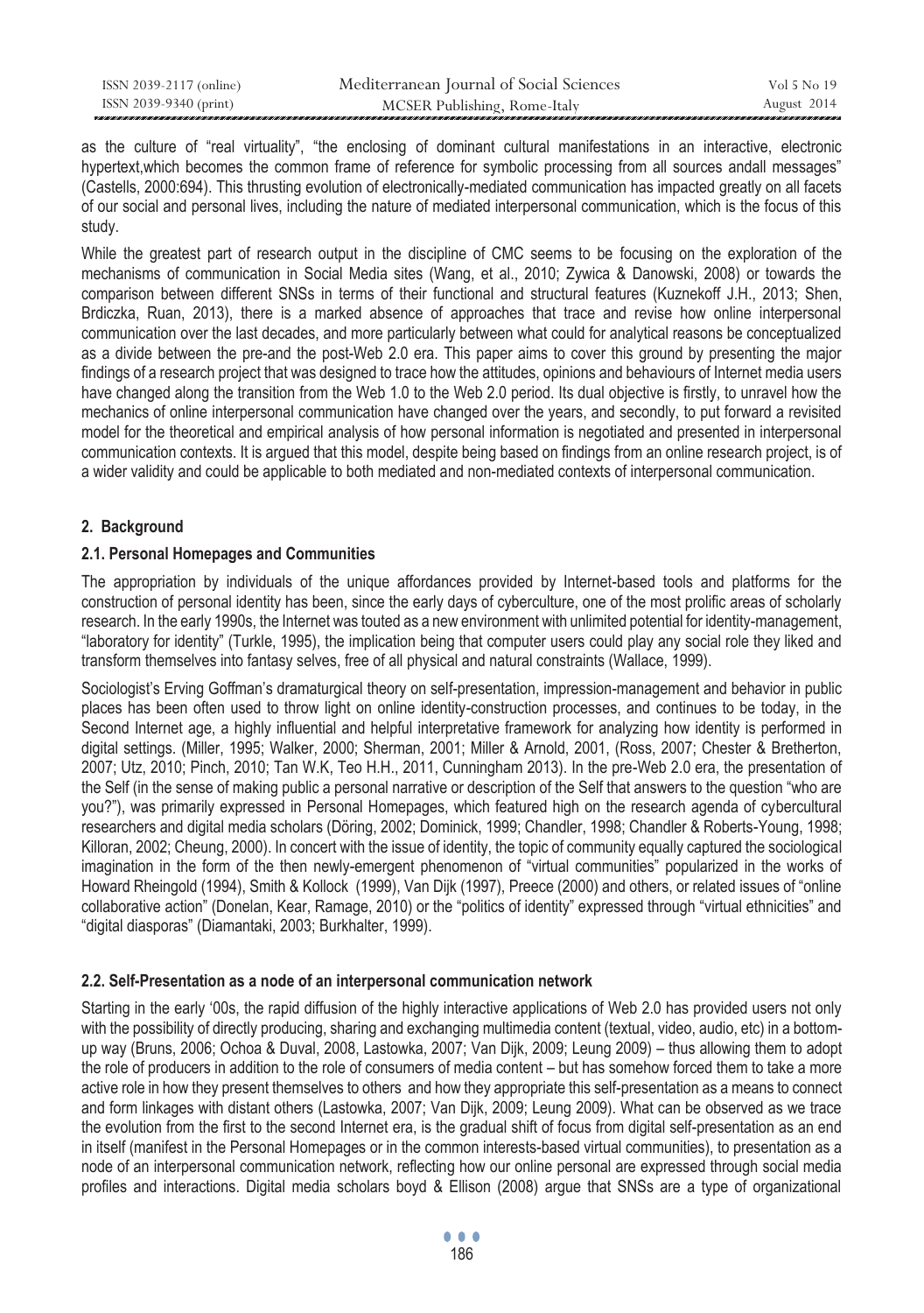| ISSN 2039-2117 (online) | Mediterranean Journal of Social Sciences | Vol 5 No 19 |
|-------------------------|------------------------------------------|-------------|
| ISSN 2039-9340 (print)  | MCSER Publishing, Rome-Italy             | August 2014 |

as the culture of "real virtuality", "the enclosing of dominant cultural manifestations in an interactive, electronic hypertext,which becomes the common frame of reference for symbolic processing from all sources andall messages" (Castells, 2000:694). This thrusting evolution of electronically-mediated communication has impacted greatly on all facets of our social and personal lives, including the nature of mediated interpersonal communication, which is the focus of this study.

While the greatest part of research output in the discipline of CMC seems to be focusing on the exploration of the mechanisms of communication in Social Media sites (Wang, et al., 2010; Zywica & Danowski, 2008) or towards the comparison between different SNSs in terms of their functional and structural features (Kuznekoff J.H., 2013; Shen, Brdiczka, Ruan, 2013), there is a marked absence of approaches that trace and revise how online interpersonal communication over the last decades, and more particularly between what could for analytical reasons be conceptualized as a divide between the pre-and the post-Web 2.0 era. This paper aims to cover this ground by presenting the major findings of a research project that was designed to trace how the attitudes, opinions and behaviours of Internet media users have changed along the transition from the Web 1.0 to the Web 2.0 period. Its dual objective is firstly, to unravel how the mechanics of online interpersonal communication have changed over the years, and secondly, to put forward a revisited model for the theoretical and empirical analysis of how personal information is negotiated and presented in interpersonal communication contexts. It is argued that this model, despite being based on findings from an online research project, is of a wider validity and could be applicable to both mediated and non-mediated contexts of interpersonal communication.

# **2. Background**

### **2.1. Personal Homepages and Communities**

The appropriation by individuals of the unique affordances provided by Internet-based tools and platforms for the construction of personal identity has been, since the early days of cyberculture, one of the most prolific areas of scholarly research. In the early 1990s, the Internet was touted as a new environment with unlimited potential for identity-management, "laboratory for identity" (Turkle, 1995), the implication being that computer users could play any social role they liked and transform themselves into fantasy selves, free of all physical and natural constraints (Wallace, 1999).

Sociologist's Erving Goffman's dramaturgical theory on self-presentation, impression-management and behavior in public places has been often used to throw light on online identity-construction processes, and continues to be today, in the Second Internet age, a highly influential and helpful interpretative framework for analyzing how identity is performed in digital settings. (Miller, 1995; Walker, 2000; Sherman, 2001; Miller & Arnold, 2001, (Ross, 2007; Chester & Bretherton, 2007; Utz, 2010; Pinch, 2010; Tan W.K, Teo H.H., 2011, Cunningham 2013). In the pre-Web 2.0 era, the presentation of the Self (in the sense of making public a personal narrative or description of the Self that answers to the question "who are you?"), was primarily expressed in Personal Homepages, which featured high on the research agenda of cybercultural researchers and digital media scholars (Döring, 2002; Dominick, 1999; Chandler, 1998; Chandler & Roberts-Young, 1998; Killoran, 2002; Cheung, 2000). In concert with the issue of identity, the topic of community equally captured the sociological imagination in the form of the then newly-emergent phenomenon of "virtual communities" popularized in the works of Howard Rheingold (1994), Smith & Kollock (1999), Van Dijk (1997), Preece (2000) and others, or related issues of "online collaborative action" (Donelan, Kear, Ramage, 2010) or the "politics of identity" expressed through "virtual ethnicities" and "digital diasporas" (Diamantaki, 2003; Burkhalter, 1999).

#### **2.2. Self-Presentation as a node of an interpersonal communication network**

Starting in the early '00s, the rapid diffusion of the highly interactive applications of Web 2.0 has provided users not only with the possibility of directly producing, sharing and exchanging multimedia content (textual, video, audio, etc) in a bottomup way (Bruns, 2006; Ochoa & Duval, 2008, Lastowka, 2007; Van Dijk, 2009; Leung 2009) – thus allowing them to adopt the role of producers in addition to the role of consumers of media content – but has somehow forced them to take a more active role in how they present themselves to others and how they appropriate this self-presentation as a means to connect and form linkages with distant others (Lastowka, 2007; Van Dijk, 2009; Leung 2009). What can be observed as we trace the evolution from the first to the second Internet era, is the gradual shift of focus from digital self-presentation as an end in itself (manifest in the Personal Homepages or in the common interests-based virtual communities), to presentation as a node of an interpersonal communication network, reflecting how our online personal are expressed through social media profiles and interactions. Digital media scholars boyd & Ellison (2008) argue that SNSs are a type of organizational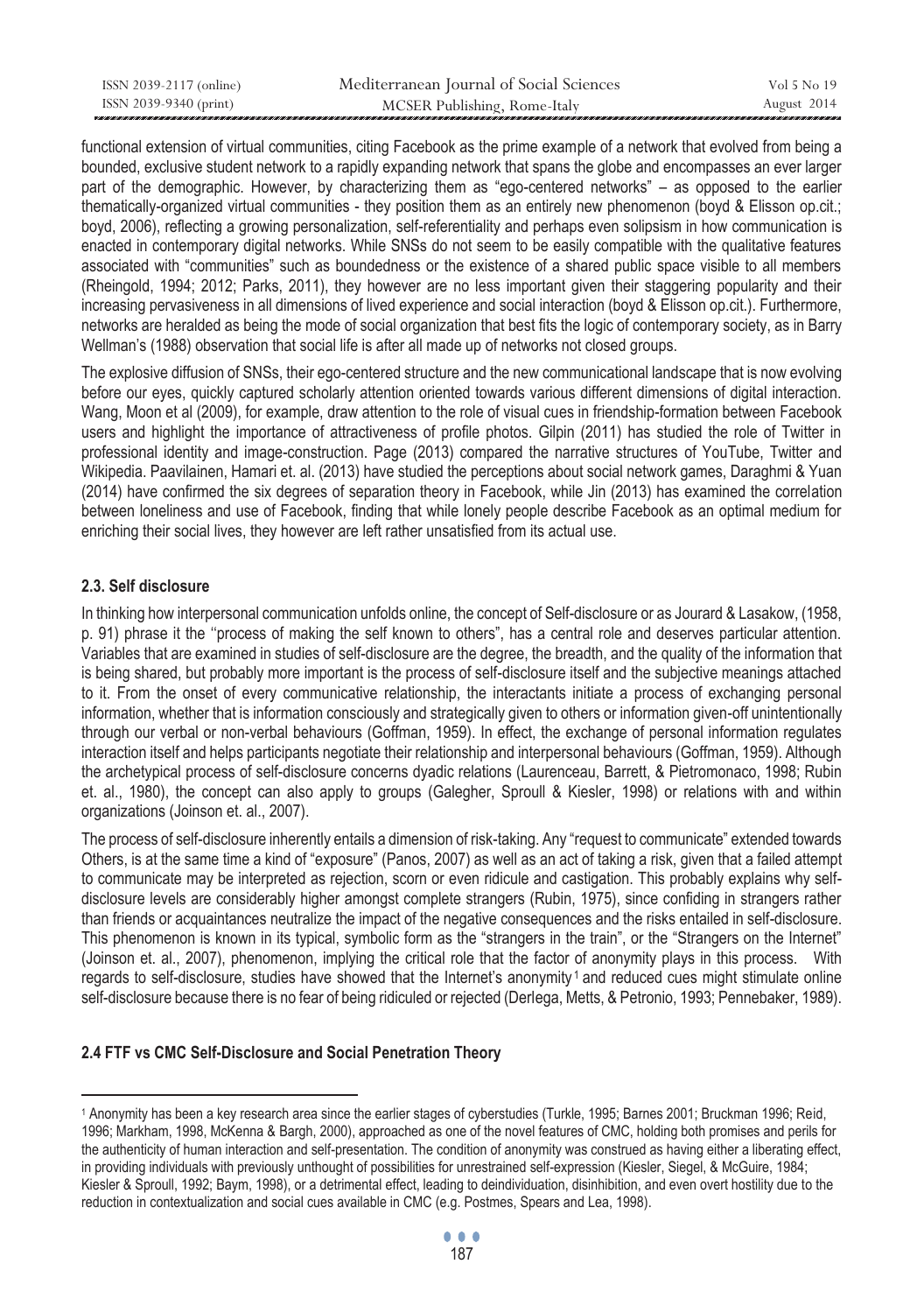| ISSN 2039-2117 (online) | Mediterranean Journal of Social Sciences | Vol 5 No 19 |
|-------------------------|------------------------------------------|-------------|
| ISSN 2039-9340 (print)  | MCSER Publishing, Rome-Italy             | August 2014 |

functional extension of virtual communities, citing Facebook as the prime example of a network that evolved from being a bounded, exclusive student network to a rapidly expanding network that spans the globe and encompasses an ever larger part of the demographic. However, by characterizing them as "ego-centered networks" – as opposed to the earlier thematically-organized virtual communities - they position them as an entirely new phenomenon (boyd & Elisson op.cit.; boyd, 2006), reflecting a growing personalization, self-referentiality and perhaps even solipsism in how communication is enacted in contemporary digital networks. While SNSs do not seem to be easily compatible with the qualitative features associated with "communities" such as boundedness or the existence of a shared public space visible to all members (Rheingold, 1994; 2012; Parks, 2011), they however are no less important given their staggering popularity and their increasing pervasiveness in all dimensions of lived experience and social interaction (boyd & Elisson op.cit.). Furthermore, networks are heralded as being the mode of social organization that best fits the logic of contemporary society, as in Barry Wellman's (1988) observation that social life is after all made up of networks not closed groups.

The explosive diffusion of SNSs, their ego-centered structure and the new communicational landscape that is now evolving before our eyes, quickly captured scholarly attention oriented towards various different dimensions of digital interaction. Wang, Moon et al (2009), for example, draw attention to the role of visual cues in friendship-formation between Facebook users and highlight the importance of attractiveness of profile photos. Gilpin (2011) has studied the role of Twitter in professional identity and image-construction. Page (2013) compared the narrative structures of YouTube, Twitter and Wikipedia. Paavilainen, Hamari et. al. (2013) have studied the perceptions about social network games, Daraghmi & Yuan (2014) have confirmed the six degrees of separation theory in Facebook, while Jin (2013) has examined the correlation between loneliness and use of Facebook, finding that while lonely people describe Facebook as an optimal medium for enriching their social lives, they however are left rather unsatisfied from its actual use.

### **2.3. Self disclosure**

 $\overline{a}$ 

In thinking how interpersonal communication unfolds online, the concept of Self-disclosure or as Jourard & Lasakow, (1958, p. 91) phrase it the ''process of making the self known to others", has a central role and deserves particular attention. Variables that are examined in studies of self-disclosure are the degree, the breadth, and the quality of the information that is being shared, but probably more important is the process of self-disclosure itself and the subjective meanings attached to it. From the onset of every communicative relationship, the interactants initiate a process of exchanging personal information, whether that is information consciously and strategically given to others or information given-off unintentionally through our verbal or non-verbal behaviours (Goffman, 1959). In effect, the exchange of personal information regulates interaction itself and helps participants negotiate their relationship and interpersonal behaviours (Goffman, 1959). Although the archetypical process of self-disclosure concerns dyadic relations (Laurenceau, Barrett, & Pietromonaco, 1998; Rubin et. al., 1980), the concept can also apply to groups (Galegher, Sproull & Kiesler, 1998) or relations with and within organizations (Joinson et. al., 2007).

The process of self-disclosure inherently entails a dimension of risk-taking. Any "request to communicate" extended towards Others, is at the same time a kind of "exposure" (Panos, 2007) as well as an act of taking a risk, given that a failed attempt to communicate may be interpreted as rejection, scorn or even ridicule and castigation. This probably explains why selfdisclosure levels are considerably higher amongst complete strangers (Rubin, 1975), since confiding in strangers rather than friends or acquaintances neutralize the impact of the negative consequences and the risks entailed in self-disclosure. This phenomenon is known in its typical, symbolic form as the "strangers in the train", or the "Strangers on the Internet" (Joinson et. al., 2007), phenomenon, implying the critical role that the factor of anonymity plays in this process. With regards to self-disclosure, studies have showed that the Internet's anonymity<sup>1</sup> and reduced cues might stimulate online self-disclosure because there is no fear of being ridiculed or rejected (Derlega, Metts, & Petronio, 1993; Pennebaker, 1989).

#### **2.4 FTF vs CMC Self-Disclosure and Social Penetration Theory**

<sup>1</sup> Anonymity has been a key research area since the earlier stages of cyberstudies (Turkle, 1995; Barnes 2001; Bruckman 1996; Reid, 1996; Markham, 1998, McKenna & Bargh, 2000), approached as one of the novel features of CMC, holding both promises and perils for the authenticity of human interaction and self-presentation. The condition of anonymity was construed as having either a liberating effect, in providing individuals with previously unthought of possibilities for unrestrained self-expression (Kiesler, Siegel, & McGuire, 1984; Kiesler & Sproull, 1992; Βaym, 1998), or a detrimental effect, leading to deindividuation, disinhibition, and even overt hostility due to the reduction in contextualization and social cues available in CMC (e.g. Postmes, Spears and Lea, 1998).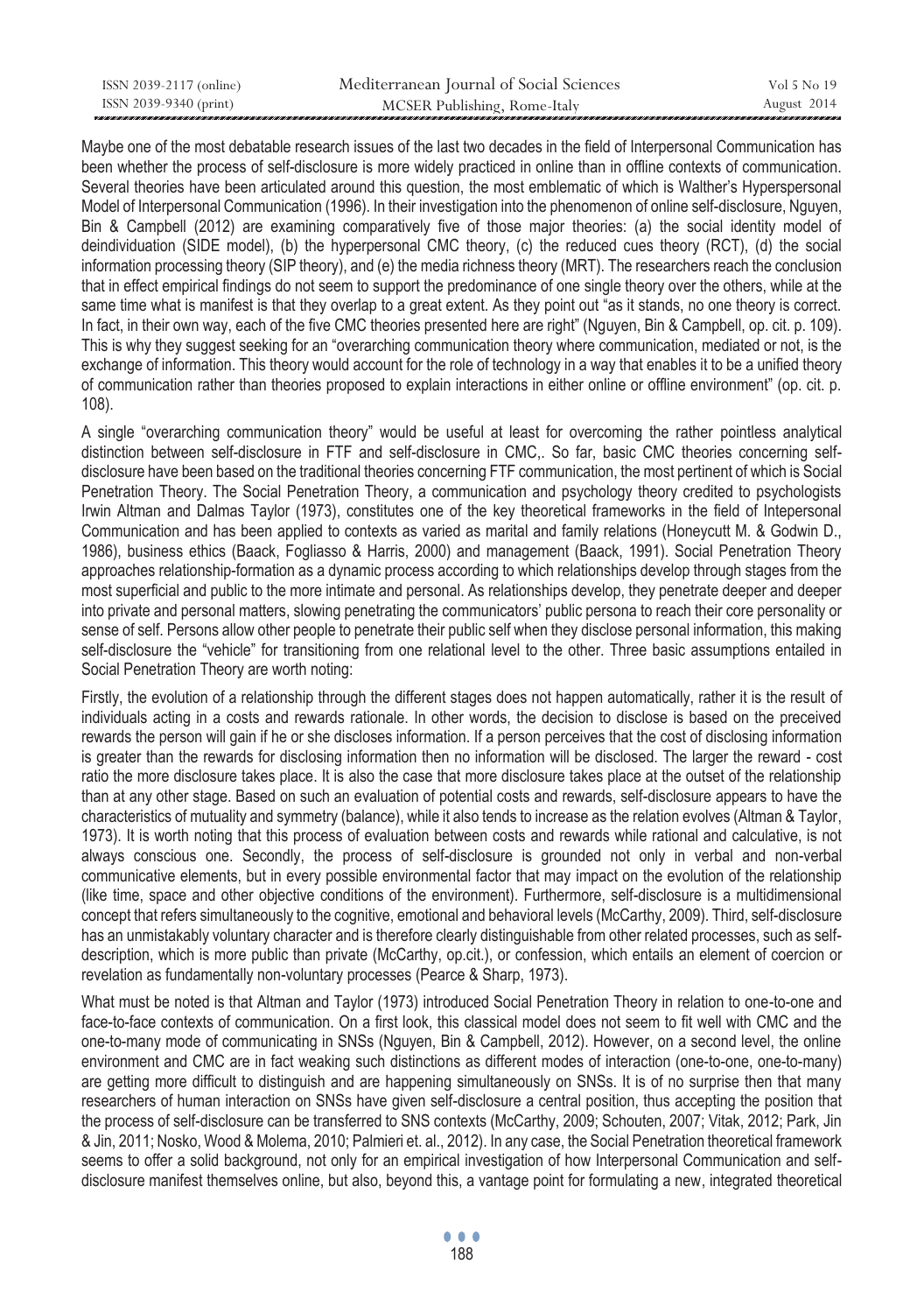| ISSN 2039-2117 (online) | Mediterranean Journal of Social Sciences | Vol 5 No 19 |
|-------------------------|------------------------------------------|-------------|
| ISSN 2039-9340 (print)  | MCSER Publishing, Rome-Italy             | August 2014 |

Maybe one of the most debatable research issues of the last two decades in the field of Interpersonal Communication has been whether the process of self-disclosure is more widely practiced in online than in offline contexts of communication. Several theories have been articulated around this question, the most emblematic of which is Walther's Hyperspersonal Model of Interpersonal Communication (1996). In their investigation into the phenomenon of online self-disclosure, Nguyen, Bin & Campbell (2012) are examining comparatively five of those major theories: (a) the social identity model of deindividuation (SIDE model), (b) the hyperpersonal CMC theory, (c) the reduced cues theory (RCT), (d) the social information processing theory (SIP theory), and (e) the media richness theory (MRT). The researchers reach the conclusion that in effect empirical findings do not seem to support the predominance of one single theory over the others, while at the same time what is manifest is that they overlap to a great extent. As they point out "as it stands, no one theory is correct. In fact, in their own way, each of the five CMC theories presented here are right" (Nguyen, Bin & Campbell, op. cit. p. 109). This is why they suggest seeking for an "overarching communication theory where communication, mediated or not, is the exchange of information. This theory would account for the role of technology in a way that enables it to be a unified theory of communication rather than theories proposed to explain interactions in either online or offline environment" (op. cit. p. 108).

A single "overarching communication theory" would be useful at least for overcoming the rather pointless analytical distinction between self-disclosure in FTF and self-disclosure in CMC,. So far, basic CMC theories concerning selfdisclosure have been based on the traditional theories concerning FTF communication, the most pertinent of which is Social Penetration Theory. The Social Penetration Theory, a communication and psychology theory credited to psychologists Irwin Altman and Dalmas Taylor (1973), constitutes one of the key theoretical frameworks in the field of Intepersonal Communication and has been applied to contexts as varied as marital and family relations (Honeycutt M. & Godwin D., 1986), business ethics (Baack, Fogliasso & Harris, 2000) and management (Baack, 1991). Social Penetration Theory approaches relationship-formation as a dynamic process according to which relationships develop through stages from the most superficial and public to the more intimate and personal. As relationships develop, they penetrate deeper and deeper into private and personal matters, slowing penetrating the communicators' public persona to reach their core personality or sense of self. Persons allow other people to penetrate their public self when they disclose personal information, this making self-disclosure the "vehicle" for transitioning from one relational level to the other. Three basic assumptions entailed in Social Penetration Theory are worth noting:

Firstly, the evolution of a relationship through the different stages does not happen automatically, rather it is the result of individuals acting in a costs and rewards rationale. In other words, the decision to disclose is based on the preceived rewards the person will gain if he or she discloses information. If a person perceives that the cost of disclosing information is greater than the rewards for disclosing information then no information will be disclosed. The larger the reward - cost ratio the more disclosure takes place. It is also the case that more disclosure takes place at the outset of the relationship than at any other stage. Based on such an evaluation of potential costs and rewards, self-disclosure appears to have the characteristics of mutuality and symmetry (balance), while it also tends to increase as the relation evolves (Altman & Taylor, 1973). It is worth noting that this process of evaluation between costs and rewards while rational and calculative, is not always conscious one. Secondly, the process of self-disclosure is grounded not only in verbal and non-verbal communicative elements, but in every possible environmental factor that may impact on the evolution of the relationship (like time, space and other objective conditions of the environment). Furthermore, self-disclosure is a multidimensional concept that refers simultaneously to the cognitive, emotional and behavioral levels (McCarthy, 2009). Third, self-disclosure has an unmistakably voluntary character and is therefore clearly distinguishable from other related processes, such as selfdescription, which is more public than private (McCarthy, op.cit.), or confession, which entails an element of coercion or revelation as fundamentally non-voluntary processes (Pearce & Sharp, 1973).

What must be noted is that Altman and Taylor (1973) introduced Social Penetration Theory in relation to one-to-one and face-to-face contexts of communication. On a first look, this classical model does not seem to fit well with CMC and the one-to-many mode of communicating in SNSs (Nguyen, Bin & Campbell, 2012). However, on a second level, the online environment and CMC are in fact weaking such distinctions as different modes of interaction (one-to-one, one-to-many) are getting more difficult to distinguish and are happening simultaneously on SNSs. It is of no surprise then that many researchers of human interaction on SNSs have given self-disclosure a central position, thus accepting the position that the process of self-disclosure can be transferred to SNS contexts (McCarthy, 2009; Schouten, 2007; Vitak, 2012; Park, Jin & Jin, 2011; Nosko, Wood & Molema, 2010; Palmieri et. al., 2012). In any case, the Social Penetration theoretical framework seems to offer a solid background, not only for an empirical investigation of how Interpersonal Communication and selfdisclosure manifest themselves online, but also, beyond this, a vantage point for formulating a new, integrated theoretical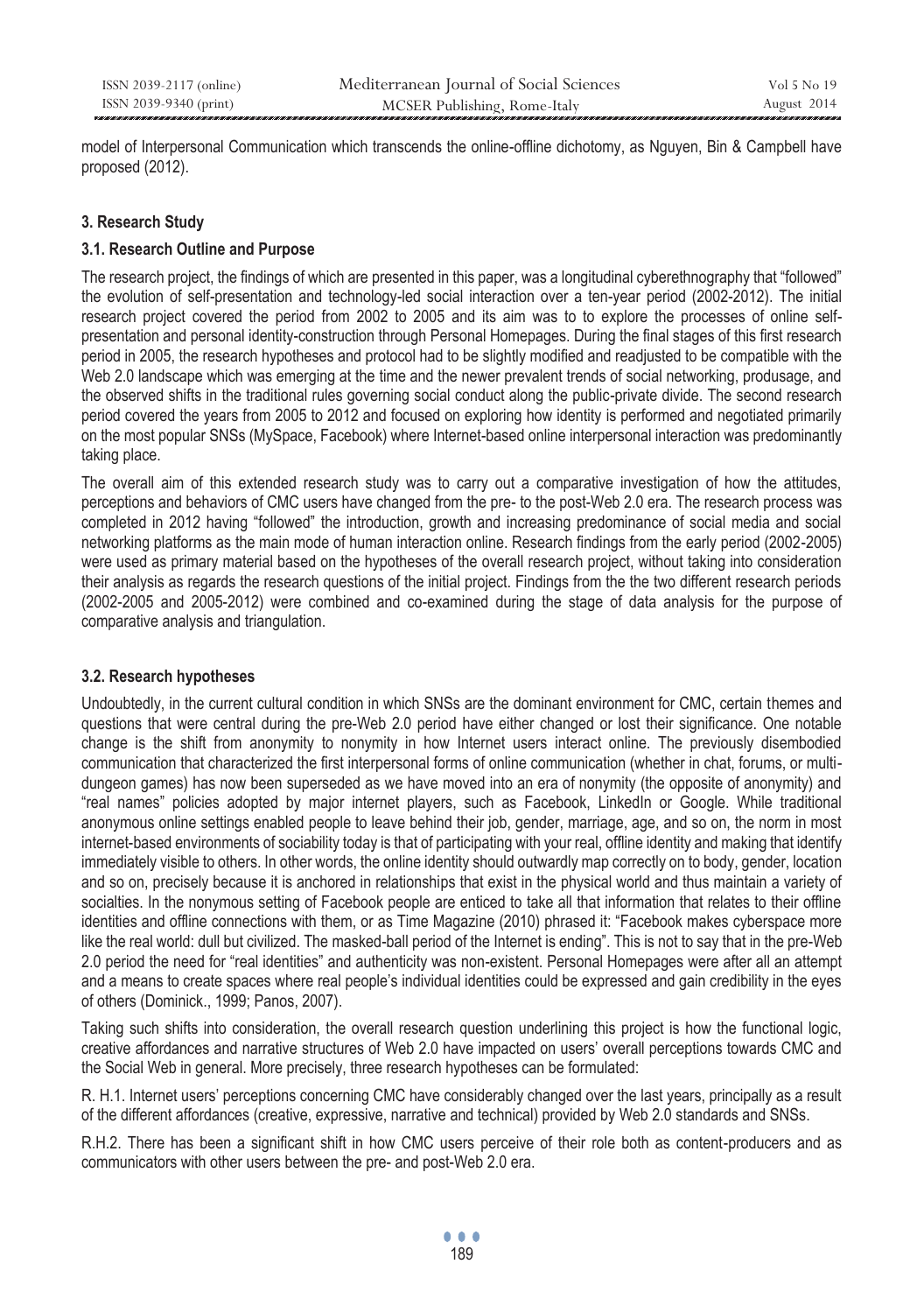model of Interpersonal Communication which transcends the online-offline dichotomy, as Nguyen, Bin & Campbell have proposed (2012).

### **3. Research Study**

### **3.1. Research Outline and Purpose**

The research project, the findings of which are presented in this paper, was a longitudinal cyberethnography that "followed" the evolution of self-presentation and technology-led social interaction over a ten-year period (2002-2012). The initial research project covered the period from 2002 to 2005 and its aim was to to explore the processes of online selfpresentation and personal identity-construction through Personal Homepages. During the final stages of this first research period in 2005, the research hypotheses and protocol had to be slightly modified and readjusted to be compatible with the Web 2.0 landscape which was emerging at the time and the newer prevalent trends of social networking, produsage, and the observed shifts in the traditional rules governing social conduct along the public-private divide. The second research period covered the years from 2005 to 2012 and focused on exploring how identity is performed and negotiated primarily on the most popular SNSs (MySpace, Facebook) where Internet-based online interpersonal interaction was predominantly taking place.

The overall aim of this extended research study was to carry out a comparative investigation of how the attitudes, perceptions and behaviors of CMC users have changed from the pre- to the post-Web 2.0 era. The research process was completed in 2012 having "followed" the introduction, growth and increasing predominance of social media and social networking platforms as the main mode of human interaction online. Research findings from the early period (2002-2005) were used as primary material based on the hypotheses of the overall research project, without taking into consideration their analysis as regards the research questions of the initial project. Findings from the the two different research periods (2002-2005 and 2005-2012) were combined and co-examined during the stage of data analysis for the purpose of comparative analysis and triangulation.

# **3.2. Research hypotheses**

Undoubtedly, in the current cultural condition in which SNSs are the dominant environment for CMC, certain themes and questions that were central during the pre-Web 2.0 period have either changed or lost their significance. One notable change is the shift from anonymity to nonymity in how Internet users interact online. The previously disembodied communication that characterized the first interpersonal forms of online communication (whether in chat, forums, or multidungeon games) has now been superseded as we have moved into an era of nonymity (the opposite of anonymity) and "real names" policies adopted by major internet players, such as Facebook, LinkedIn or Google. While traditional anonymous online settings enabled people to leave behind their job, gender, marriage, age, and so on, the norm in most internet-based environments of sociability today is that of participating with your real, offline identity and making that identify immediately visible to others. In other words, the online identity should outwardly map correctly on to body, gender, location and so on, precisely because it is anchored in relationships that exist in the physical world and thus maintain a variety of socialties. In the nonymous setting of Facebook people are enticed to take all that information that relates to their offline identities and offline connections with them, or as Time Magazine (2010) phrased it: "Facebook makes cyberspace more like the real world: dull but civilized. The masked-ball period of the Internet is ending". This is not to say that in the pre-Web 2.0 period the need for "real identities" and authenticity was non-existent. Personal Homepages were after all an attempt and a means to create spaces where real people's individual identities could be expressed and gain credibility in the eyes of others (Dominick., 1999; Panos, 2007).

Taking such shifts into consideration, the overall research question underlining this project is how the functional logic, creative affordances and narrative structures of Web 2.0 have impacted on users' overall perceptions towards CMC and the Social Web in general. More precisely, three research hypotheses can be formulated:

R. H.1. Internet users' perceptions concerning CMC have considerably changed over the last years, principally as a result of the different affordances (creative, expressive, narrative and technical) provided by Web 2.0 standards and SNSs.

R.H.2. There has been a significant shift in how CMC users perceive of their role both as content-producers and as communicators with other users between the pre- and post-Web 2.0 era.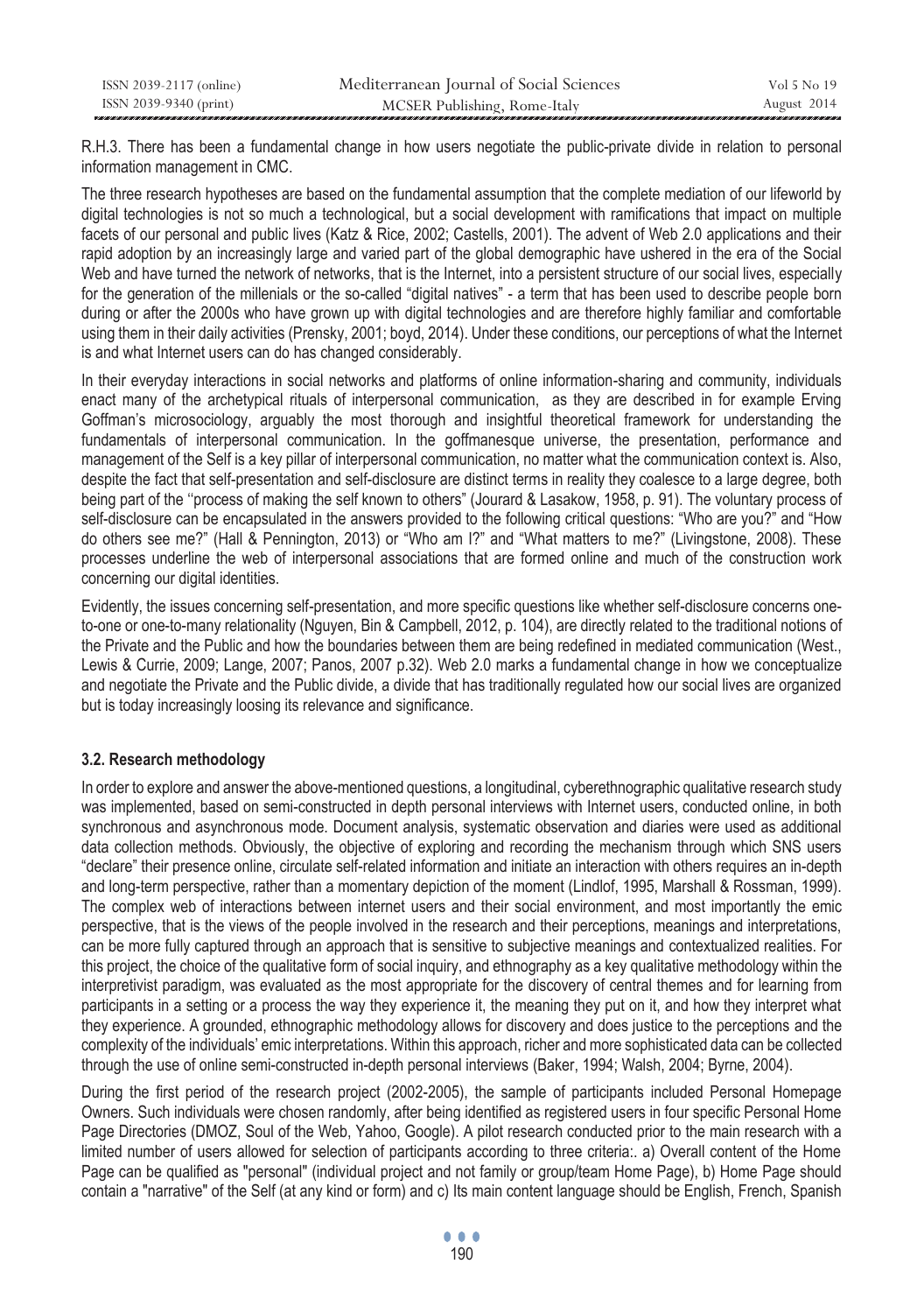| ISSN 2039-2117 (online) | Mediterranean Journal of Social Sciences | Vol 5 No 19 |
|-------------------------|------------------------------------------|-------------|
| ISSN 2039-9340 (print)  | MCSER Publishing, Rome-Italy             | August 2014 |

R.H.3. There has been a fundamental change in how users negotiate the public-private divide in relation to personal information management in CMC.

The three research hypotheses are based on the fundamental assumption that the complete mediation of our lifeworld by digital technologies is not so much a technological, but a social development with ramifications that impact on multiple facets of our personal and public lives (Katz & Rice, 2002; Castells, 2001). The advent of Web 2.0 applications and their rapid adoption by an increasingly large and varied part of the global demographic have ushered in the era of the Social Web and have turned the network of networks, that is the Internet, into a persistent structure of our social lives, especially for the generation of the millenials or the so-called "digital natives" - a term that has been used to describe people born during or after the 2000s who have grown up with digital technologies and are therefore highly familiar and comfortable using them in their daily activities (Prensky, 2001; boyd, 2014). Under these conditions, our perceptions of what the Internet is and what Internet users can do has changed considerably.

In their everyday interactions in social networks and platforms of online information-sharing and community, individuals enact many of the archetypical rituals of interpersonal communication, as they are described in for example Erving Goffman's microsociology, arguably the most thorough and insightful theoretical framework for understanding the fundamentals of interpersonal communication. In the goffmanesque universe, the presentation, performance and management of the Self is a key pillar of interpersonal communication, no matter what the communication context is. Also, despite the fact that self-presentation and self-disclosure are distinct terms in reality they coalesce to a large degree, both being part of the ''process of making the self known to others" (Jourard & Lasakow, 1958, p. 91). The voluntary process of self-disclosure can be encapsulated in the answers provided to the following critical questions: "Who are you?" and "How do others see me?" (Hall & Pennington, 2013) or "Who am I?" and "What matters to me?" (Livingstone, 2008). These processes underline the web of interpersonal associations that are formed online and much of the construction work concerning our digital identities.

Evidently, the issues concerning self-presentation, and more specific questions like whether self-disclosure concerns oneto-one or one-to-many relationality (Nguyen, Bin & Campbell, 2012, p. 104), are directly related to the traditional notions of the Private and the Public and how the boundaries between them are being redefined in mediated communication (West., Lewis & Currie, 2009; Lange, 2007; Panos, 2007 p.32). Web 2.0 marks a fundamental change in how we conceptualize and negotiate the Private and the Public divide, a divide that has traditionally regulated how our social lives are organized but is today increasingly loosing its relevance and significance.

#### **3.2. Research methodology**

In order to explore and answer the above-mentioned questions, a longitudinal, cyberethnographic qualitative research study was implemented, based on semi-constructed in depth personal interviews with Internet users, conducted online, in both synchronous and asynchronous mode. Document analysis, systematic observation and diaries were used as additional data collection methods. Obviously, the objective of exploring and recording the mechanism through which SNS users "declare" their presence online, circulate self-related information and initiate an interaction with others requires an in-depth and long-term perspective, rather than a momentary depiction of the moment (Lindlof, 1995, Marshall & Rossman, 1999). The complex web of interactions between internet users and their social environment, and most importantly the emic perspective, that is the views of the people involved in the research and their perceptions, meanings and interpretations, can be more fully captured through an approach that is sensitive to subjective meanings and contextualized realities. For this project, the choice of the qualitative form of social inquiry, and ethnography as a key qualitative methodology within the interpretivist paradigm, was evaluated as the most appropriate for the discovery of central themes and for learning from participants in a setting or a process the way they experience it, the meaning they put on it, and how they interpret what they experience. A grounded, ethnographic methodology allows for discovery and does justice to the perceptions and the complexity of the individuals' emic interpretations. Within this approach, richer and more sophisticated data can be collected through the use of online semi-constructed in-depth personal interviews (Baker, 1994; Walsh, 2004; Byrne, 2004).

During the first period of the research project (2002-2005), the sample of participants included Personal Homepage Owners. Such individuals were chosen randomly, after being identified as registered users in four specific Personal Home Page Directories (DMOZ, Soul of the Web, Yahoo, Google). A pilot research conducted prior to the main research with a limited number of users allowed for selection of participants according to three criteria:. a) Overall content of the Home Page can be qualified as "personal" (individual project and not family or group/team Home Page), b) Home Page should contain a "narrative" of the Self (at any kind or form) and c) Its main content language should be English, French, Spanish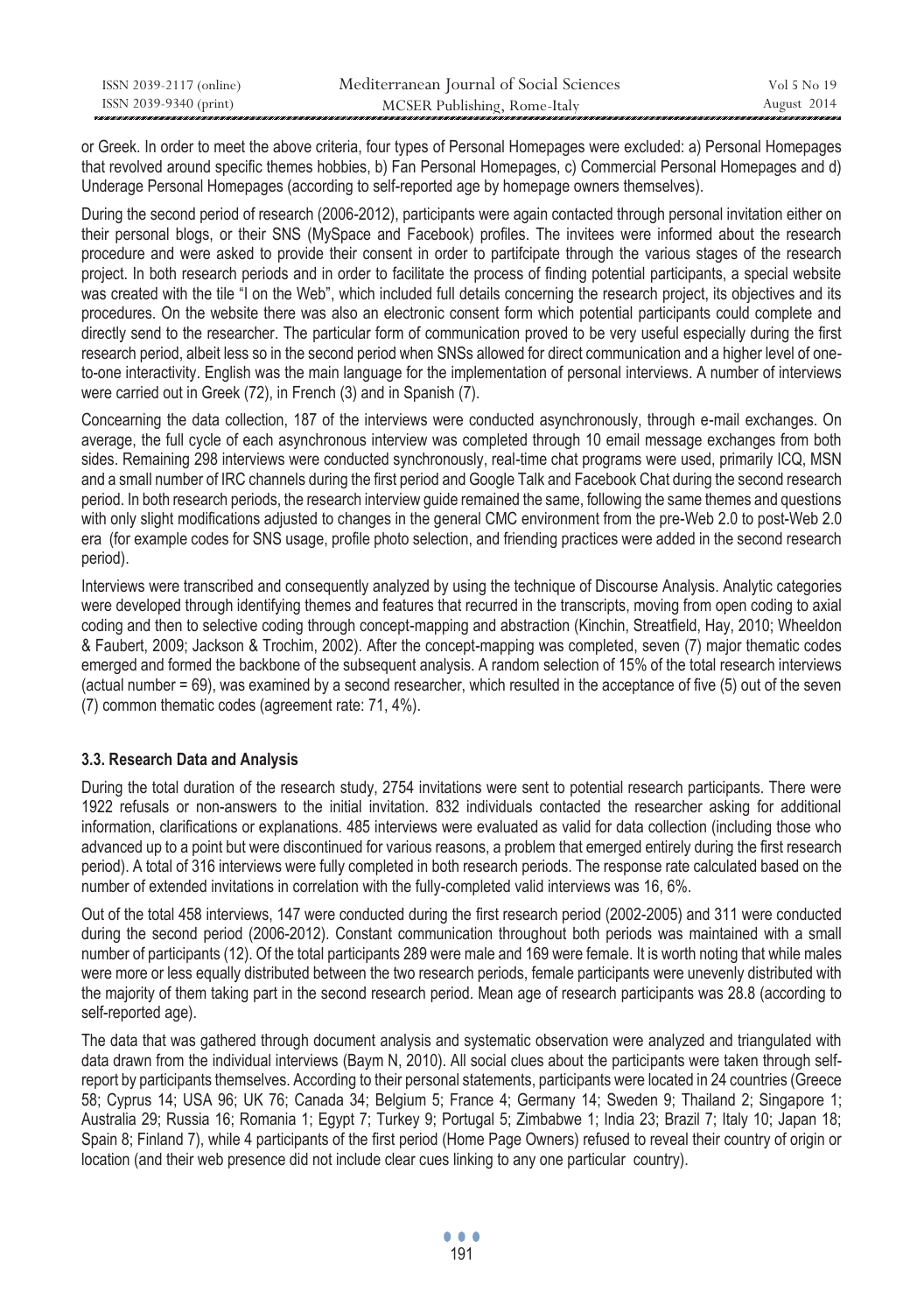| ISSN 2039-2117 (online) | Mediterranean Journal of Social Sciences | Vol 5 No 19 |
|-------------------------|------------------------------------------|-------------|
| ISSN 2039-9340 (print)  | MCSER Publishing, Rome-Italy             | August 2014 |

or Greek. In order to meet the above criteria, four types of Personal Homepages were excluded: a) Personal Homepages that revolved around specific themes hobbies, b) Fan Personal Homepages, c) Commercial Personal Homepages and d) Underage Personal Homepages (according to self-reported age by homepage owners themselves).

During the second period of research (2006-2012), participants were again contacted through personal invitation either on their personal blogs, or their SNS (MySpace and Facebook) profiles. The invitees were informed about the research procedure and were asked to provide their consent in order to partifcipate through the various stages of the research project. In both research periods and in order to facilitate the process of finding potential participants, a special website was created with the tile "I on the Web", which included full details concerning the research project, its objectives and its procedures. On the website there was also an electronic consent form which potential participants could complete and directly send to the researcher. The particular form of communication proved to be very useful especially during the first research period, albeit less so in the second period when SNSs allowed for direct communication and a higher level of oneto-one interactivity. English was the main language for the implementation of personal interviews. A number of interviews were carried out in Greek (72), in French (3) and in Spanish (7).

Concearning the data collection, 187 of the interviews were conducted asynchronously, through e-mail exchanges. On average, the full cycle of each asynchronous interview was completed through 10 email message exchanges from both sides. Remaining 298 interviews were conducted synchronously, real-time chat programs were used, primarily ICQ, MSN and a small number of IRC channels during the first period and Google Talk and Facebook Chat during the second research period. In both research periods, the research interview guide remained the same, following the same themes and questions with only slight modifications adjusted to changes in the general CMC environment from the pre-Web 2.0 to post-Web 2.0 era (for example codes for SNS usage, profile photo selection, and friending practices were added in the second research period).

Interviews were transcribed and consequently analyzed by using the technique of Discourse Analysis. Analytic categories were developed through identifying themes and features that recurred in the transcripts, moving from open coding to axial coding and then to selective coding through concept-mapping and abstraction (Kinchin, Streatfield, Hay, 2010; Wheeldon & Faubert, 2009; Jackson & Trochim, 2002). After the concept-mapping was completed, seven (7) major thematic codes emerged and formed the backbone of the subsequent analysis. A random selection of 15% of the total research interviews (actual number = 69), was examined by a second researcher, which resulted in the acceptance of five (5) out of the seven (7) common thematic codes (agreement rate: 71, 4%).

# **3.3. Research Data and Analysis**

During the total duration of the research study, 2754 invitations were sent to potential research participants. There were 1922 refusals or non-answers to the initial invitation. 832 individuals contacted the researcher asking for additional information, clarifications or explanations. 485 interviews were evaluated as valid for data collection (including those who advanced up to a point but were discontinued for various reasons, a problem that emerged entirely during the first research period). A total of 316 interviews were fully completed in both research periods. The response rate calculated based on the number of extended invitations in correlation with the fully-completed valid interviews was 16, 6%.

Out of the total 458 interviews, 147 were conducted during the first research period (2002-2005) and 311 were conducted during the second period (2006-2012). Constant communication throughout both periods was maintained with a small number of participants (12). Of the total participants 289 were male and 169 were female. It is worth noting that while males were more or less equally distributed between the two research periods, female participants were unevenly distributed with the majority of them taking part in the second research period. Μean age of research participants was 28.8 (according to self-reported age).

The data that was gathered through document analysis and systematic observation were analyzed and triangulated with data drawn from the individual interviews (Baym N, 2010). All social clues about the participants were taken through selfreport by participants themselves. According to their personal statements, participants were located in 24 countries (Greece 58; Cyprus 14; USA 96; UK 76; Canada 34; Belgium 5; France 4; Germany 14; Sweden 9; Thailand 2; Singapore 1; Australia 29; Russia 16; Romania 1; Egypt 7; Turkey 9; Portugal 5; Zimbabwe 1; India 23; Brazil 7; Italy 10; Japan 18; Spain 8; Finland 7), while 4 participants of the first period (Home Page Owners) refused to reveal their country of origin or location (and their web presence did not include clear cues linking to any one particular country).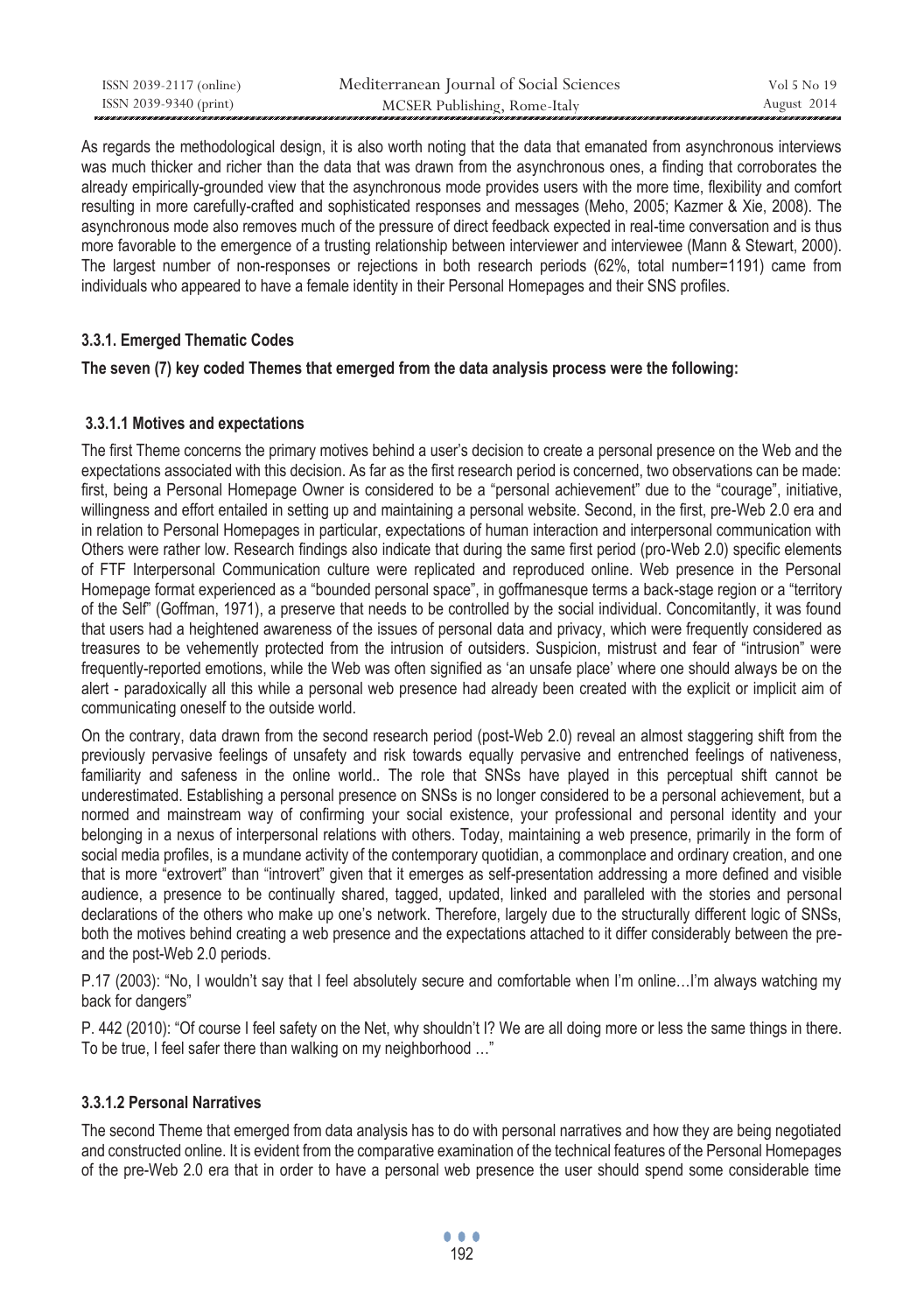| ISSN 2039-2117 (online) | Mediterranean Journal of Social Sciences | Vol 5 No 19 |
|-------------------------|------------------------------------------|-------------|
| ISSN 2039-9340 (print)  | MCSER Publishing, Rome-Italy             | August 2014 |

As regards the methodological design, it is also worth noting that the data that emanated from asynchronous interviews was much thicker and richer than the data that was drawn from the asynchronous ones, a finding that corroborates the already empirically-grounded view that the asynchronous mode provides users with the more time, flexibility and comfort resulting in more carefully-crafted and sophisticated responses and messages (Meho, 2005; Kazmer & Xie, 2008). The asynchronous mode also removes much of the pressure of direct feedback expected in real-time conversation and is thus more favorable to the emergence of a trusting relationship between interviewer and interviewee (Mann & Stewart, 2000). The largest number of non-responses or rejections in both research periods (62%, total number=1191) came from individuals who appeared to have a female identity in their Personal Homepages and their SNS profiles.

#### **3.3.1. Emerged Thematic Codes**

#### **The seven (7) key coded Themes that emerged from the data analysis process were the following:**

#### **3.3.1.1 Motives and expectations**

The first Theme concerns the primary motives behind a user's decision to create a personal presence on the Web and the expectations associated with this decision. As far as the first research period is concerned, two observations can be made: first, being a Personal Homepage Owner is considered to be a "personal achievement" due to the "courage", initiative, willingness and effort entailed in setting up and maintaining a personal website. Second, in the first, pre-Web 2.0 era and in relation to Personal Homepages in particular, expectations of human interaction and interpersonal communication with Others were rather low. Research findings also indicate that during the same first period (pro-Web 2.0) specific elements of FTF Interpersonal Communication culture were replicated and reproduced online. Web presence in the Personal Homepage format experienced as a "bounded personal space", in goffmanesque terms a back-stage region or a "territory of the Self" (Goffman, 1971), a preserve that needs to be controlled by the social individual. Concomitantly, it was found that users had a heightened awareness of the issues of personal data and privacy, which were frequently considered as treasures to be vehemently protected from the intrusion of outsiders. Suspicion, mistrust and fear of "intrusion" were frequently-reported emotions, while the Web was often signified as 'an unsafe place' where one should always be on the alert - paradoxically all this while a personal web presence had already been created with the explicit or implicit aim of communicating oneself to the outside world.

On the contrary, data drawn from the second research period (post-Web 2.0) reveal an almost staggering shift from the previously pervasive feelings of unsafety and risk towards equally pervasive and entrenched feelings of nativeness, familiarity and safeness in the online world.. The role that SNSs have played in this perceptual shift cannot be underestimated. Establishing a personal presence on SNSs is no longer considered to be a personal achievement, but a normed and mainstream way of confirming your social existence, your professional and personal identity and your belonging in a nexus of interpersonal relations with others. Today, maintaining a web presence, primarily in the form of social media profiles, is a mundane activity of the contemporary quotidian, a commonplace and ordinary creation, and one that is more "extrovert" than "introvert" given that it emerges as self-presentation addressing a more defined and visible audience, a presence to be continually shared, tagged, updated, linked and paralleled with the stories and personal declarations of the others who make up one's network. Therefore, largely due to the structurally different logic of SNSs, both the motives behind creating a web presence and the expectations attached to it differ considerably between the preand the post-Web 2.0 periods.

P.17 (2003): "No, I wouldn't say that I feel absolutely secure and comfortable when I'm online…I'm always watching my back for dangers"

P. 442 (2010): "Of course I feel safety on the Net, why shouldn't I? We are all doing more or less the same things in there. To be true, I feel safer there than walking on my neighborhood …"

#### **3.3.1.2 Personal Narratives**

The second Theme that emerged from data analysis has to do with personal narratives and how they are being negotiated and constructed online. It is evident from the comparative examination of the technical features of the Personal Homepages of the pre-Web 2.0 era that in order to have a personal web presence the user should spend some considerable time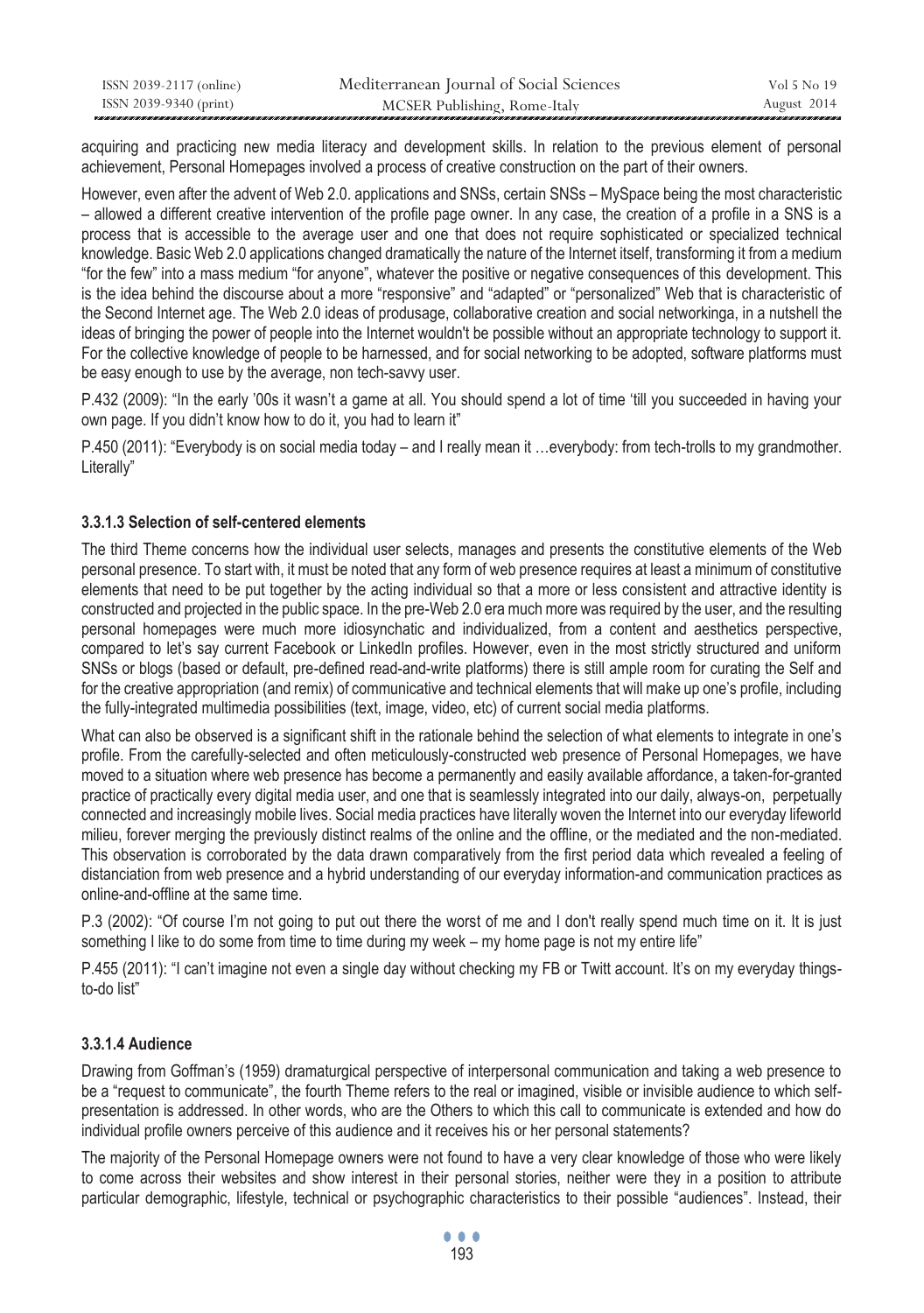| ISSN 2039-2117 (online) | Mediterranean Journal of Social Sciences | Vol 5 No 19 |
|-------------------------|------------------------------------------|-------------|
| ISSN 2039-9340 (print)  | MCSER Publishing, Rome-Italy             | August 2014 |

acquiring and practicing new media literacy and development skills. In relation to the previous element of personal achievement, Personal Homepages involved a process of creative construction on the part of their owners.

However, even after the advent of Web 2.0. applications and SNSs, certain SNSs – MySpace being the most characteristic – allowed a different creative intervention of the profile page owner. In any case, the creation of a profile in a SNS is a process that is accessible to the average user and one that does not require sophisticated or specialized technical knowledge. Basic Web 2.0 applications changed dramatically the nature of the Internet itself, transforming it from a medium "for the few" into a mass medium "for anyone", whatever the positive or negative consequences of this development. This is the idea behind the discourse about a more "responsive" and "adapted" or "personalized" Web that is characteristic of the Second Internet age. The Web 2.0 ideas of produsage, collaborative creation and social networkinga, in a nutshell the ideas of bringing the power of people into the Internet wouldn't be possible without an appropriate technology to support it. For the collective knowledge of people to be harnessed, and for social networking to be adopted, software platforms must be easy enough to use by the average, non tech-savvy user.

P.432 (2009): "In the early '00s it wasn't a game at all. You should spend a lot of time 'till you succeeded in having your own page. If you didn't know how to do it, you had to learn it"

P.450 (2011): "Everybody is on social media today – and I really mean it …everybody: from tech-trolls to my grandmother. Literally"

### **3.3.1.3 Selection of self-centered elements**

The third Theme concerns how the individual user selects, manages and presents the constitutive elements of the Web personal presence. To start with, it must be noted that any form of web presence requires at least a minimum of constitutive elements that need to be put together by the acting individual so that a more or less consistent and attractive identity is constructed and projected in the public space. In the pre-Web 2.0 era much more was required by the user, and the resulting personal homepages were much more idiosynchatic and individualized, from a content and aesthetics perspective, compared to let's say current Facebook or LinkedIn profiles. However, even in the most strictly structured and uniform SNSs or blogs (based or default, pre-defined read-and-write platforms) there is still ample room for curating the Self and for the creative appropriation (and remix) of communicative and technical elements that will make up one's profile, including the fully-integrated multimedia possibilities (text, image, video, etc) of current social media platforms.

What can also be observed is a significant shift in the rationale behind the selection of what elements to integrate in one's profile. From the carefully-selected and often meticulously-constructed web presence of Personal Homepages, we have moved to a situation where web presence has become a permanently and easily available affordance, a taken-for-granted practice of practically every digital media user, and one that is seamlessly integrated into our daily, always-on, perpetually connected and increasingly mobile lives. Social media practices have literally woven the Internet into our everyday lifeworld milieu, forever merging the previously distinct realms of the online and the offline, or the mediated and the non-mediated. This observation is corroborated by the data drawn comparatively from the first period data which revealed a feeling of distanciation from web presence and a hybrid understanding of our everyday information-and communication practices as online-and-offline at the same time.

P.3 (2002): "Of course I'm not going to put out there the worst of me and I don't really spend much time on it. It is just something I like to do some from time to time during my week – my home page is not my entire life"

P.455 (2011): "I can't imagine not even a single day without checking my FB or Twitt account. It's on my everyday thingsto-do list"

#### **3.3.1.4 Audience**

Drawing from Goffman's (1959) dramaturgical perspective of interpersonal communication and taking a web presence to be a "request to communicate", the fourth Theme refers to the real or imagined, visible or invisible audience to which selfpresentation is addressed. In other words, who are the Others to which this call to communicate is extended and how do individual profile owners perceive of this audience and it receives his or her personal statements?

The majority of the Personal Homepage owners were not found to have a very clear knowledge of those who were likely to come across their websites and show interest in their personal stories, neither were they in a position to attribute particular demographic, lifestyle, technical or psychographic characteristics to their possible "audiences". Instead, their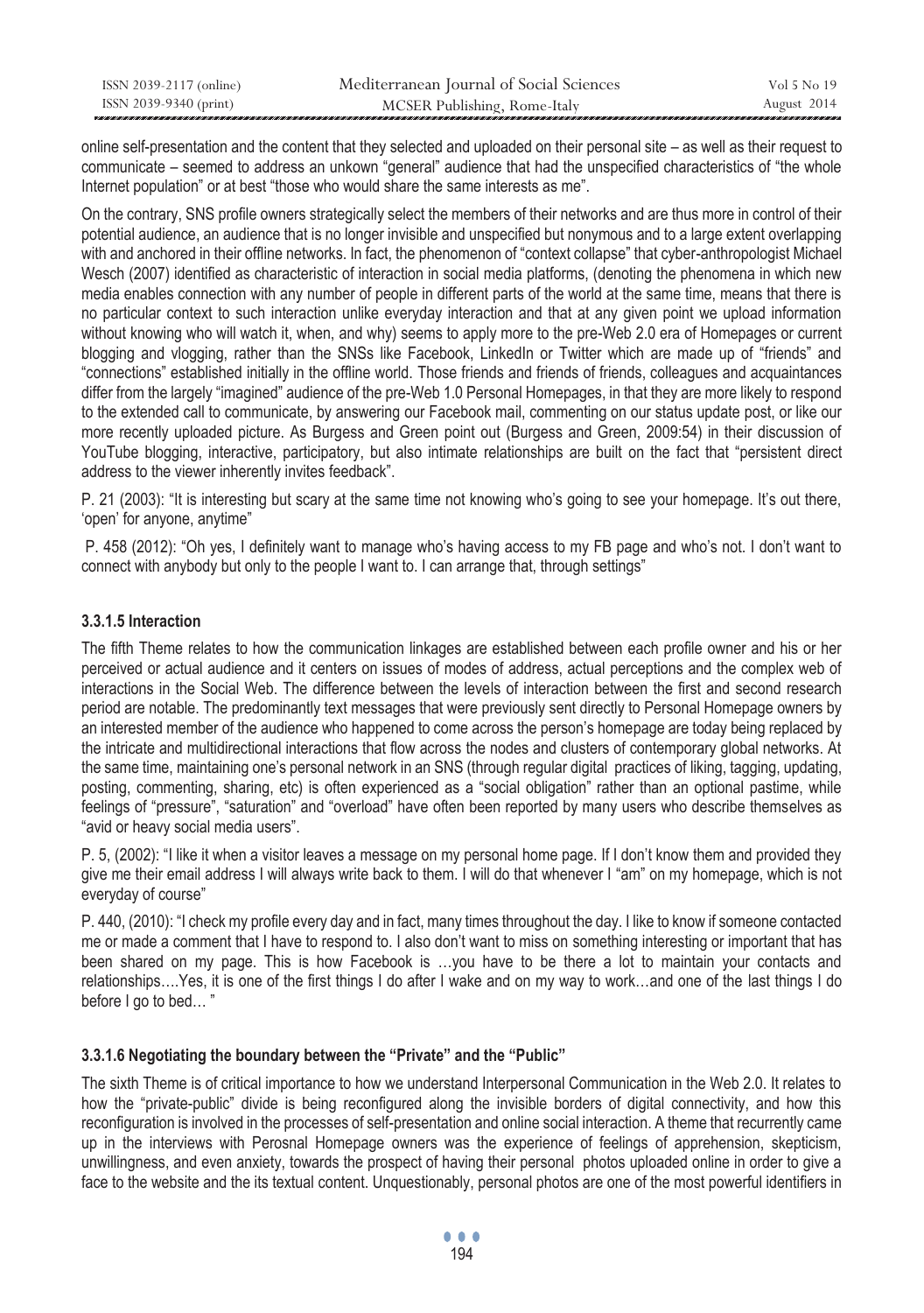| ISSN 2039-2117 (online) | Mediterranean Journal of Social Sciences | Vol 5 No 19 |
|-------------------------|------------------------------------------|-------------|
| ISSN 2039-9340 (print)  | MCSER Publishing, Rome-Italy             | August 2014 |

online self-presentation and the content that they selected and uploaded on their personal site – as well as their request to communicate – seemed to address an unkown "general" audience that had the unspecified characteristics of "the whole Internet population" or at best "those who would share the same interests as me".

On the contrary, SNS profile owners strategically select the members of their networks and are thus more in control of their potential audience, an audience that is no longer invisible and unspecified but nonymous and to a large extent overlapping with and anchored in their offline networks. In fact, the phenomenon of "context collapse" that cyber-anthropologist Michael Wesch (2007) identified as characteristic of interaction in social media platforms, (denoting the phenomena in which new media enables connection with any number of people in different parts of the world at the same time, means that there is no particular context to such interaction unlike everyday interaction and that at any given point we upload information without knowing who will watch it, when, and why) seems to apply more to the pre-Web 2.0 era of Homepages or current blogging and vlogging, rather than the SNSs like Facebook, LinkedIn or Twitter which are made up of "friends" and "connections" established initially in the offline world. Those friends and friends of friends, colleagues and acquaintances differ from the largely "imagined" audience of the pre-Web 1.0 Personal Homepages, in that they are more likely to respond to the extended call to communicate, by answering our Facebook mail, commenting on our status update post, or like our more recently uploaded picture. As Burgess and Green point out (Burgess and Green, 2009:54) in their discussion of YouTube blogging, interactive, participatory, but also intimate relationships are built on the fact that "persistent direct address to the viewer inherently invites feedback".

P. 21 (2003): "It is interesting but scary at the same time not knowing who's going to see your homepage. It's out there, 'open' for anyone, anytime"

 P. 458 (2012): "Oh yes, I definitely want to manage who's having access to my FB page and who's not. I don't want to connect with anybody but only to the people I want to. I can arrange that, through settings"

### **3.3.1.5 Interaction**

The fifth Theme relates to how the communication linkages are established between each profile owner and his or her perceived or actual audience and it centers on issues of modes of address, actual perceptions and the complex web of interactions in the Social Web. The difference between the levels of interaction between the first and second research period are notable. The predominantly text messages that were previously sent directly to Personal Homepage owners by an interested member of the audience who happened to come across the person's homepage are today being replaced by the intricate and multidirectional interactions that flow across the nodes and clusters of contemporary global networks. At the same time, maintaining one's personal network in an SNS (through regular digital practices of liking, tagging, updating, posting, commenting, sharing, etc) is often experienced as a "social obligation" rather than an optional pastime, while feelings of "pressure", "saturation" and "overload" have often been reported by many users who describe themselves as "avid or heavy social media users".

P. 5, (2002): "I like it when a visitor leaves a message on my personal home page. If I don't know them and provided they give me their email address I will always write back to them. I will do that whenever I "am" on my homepage, which is not everyday of course"

P. 440, (2010): "I check my profile every day and in fact, many times throughout the day. I like to know if someone contacted me or made a comment that I have to respond to. I also don't want to miss on something interesting or important that has been shared on my page. This is how Facebook is ...you have to be there a lot to maintain your contacts and relationships….Yes, it is one of the first things I do after I wake and on my way to work…and one of the last things I do before I go to bed… "

#### **3.3.1.6 Negotiating the boundary between the "Private" and the "Public"**

The sixth Theme is of critical importance to how we understand Interpersonal Communication in the Web 2.0. It relates to how the "private-public" divide is being reconfigured along the invisible borders of digital connectivity, and how this reconfiguration is involved in the processes of self-presentation and online social interaction. A theme that recurrently came up in the interviews with Perosnal Homepage owners was the experience of feelings of apprehension, skepticism, unwillingness, and even anxiety, towards the prospect of having their personal photos uploaded online in order to give a face to the website and the its textual content. Unquestionably, personal photos are one of the most powerful identifiers in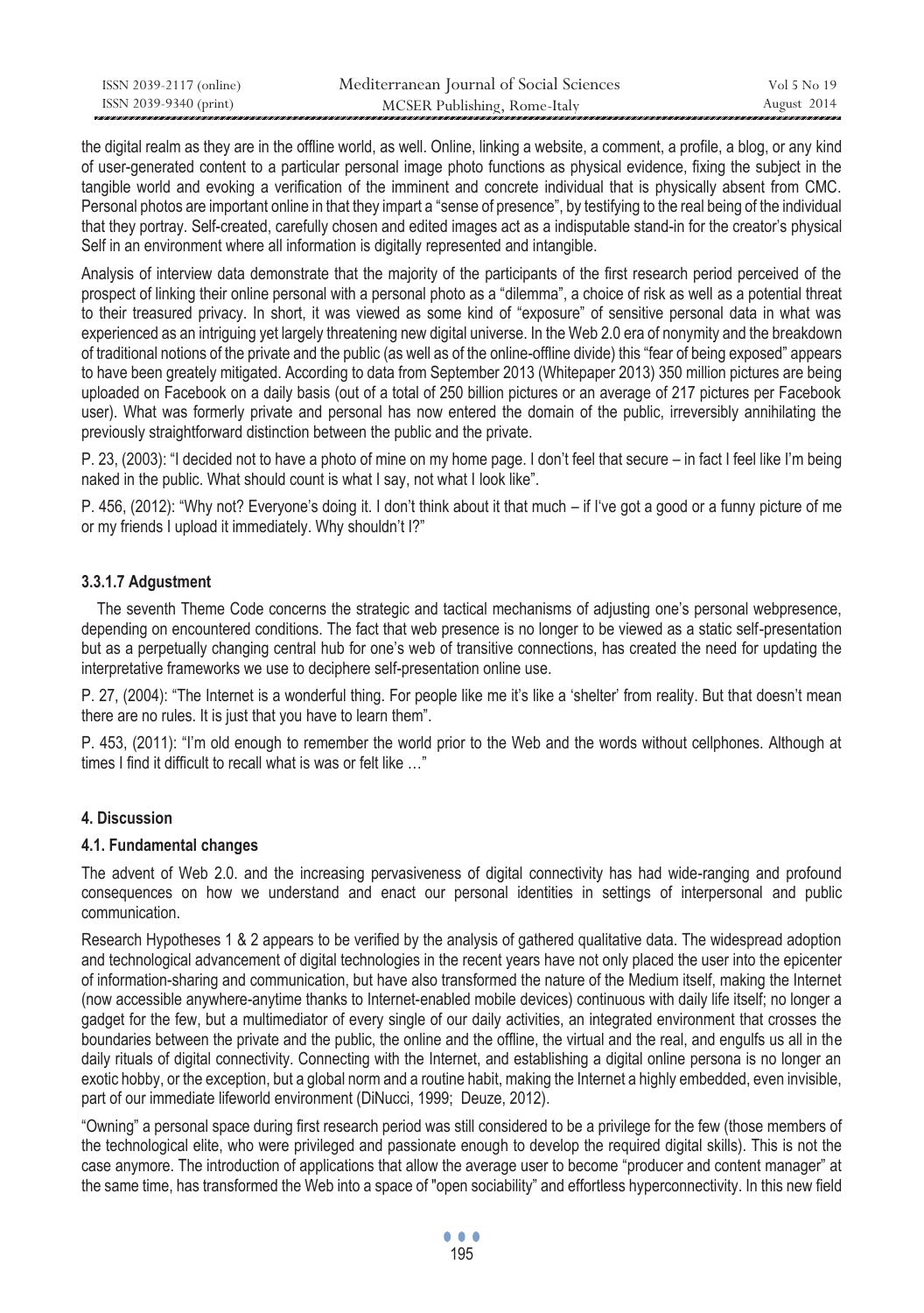| ISSN 2039-2117 (online) | Mediterranean Journal of Social Sciences | Vol 5 No 19 |
|-------------------------|------------------------------------------|-------------|
| ISSN 2039-9340 (print)  | MCSER Publishing, Rome-Italy             | August 2014 |

the digital realm as they are in the offline world, as well. Online, linking a website, a comment, a profile, a blog, or any kind of user-generated content to a particular personal image photo functions as physical evidence, fixing the subject in the tangible world and evoking a verification of the imminent and concrete individual that is physically absent from CMC. Personal photos are important online in that they impart a "sense of presence", by testifying to the real being of the individual that they portray. Self-created, carefully chosen and edited images act as a indisputable stand-in for the creator's physical Self in an environment where all information is digitally represented and intangible.

Analysis of interview data demonstrate that the majority of the participants of the first research period perceived of the prospect of linking their online personal with a personal photo as a "dilemma", a choice of risk as well as a potential threat to their treasured privacy. In short, it was viewed as some kind of "exposure" of sensitive personal data in what was experienced as an intriguing yet largely threatening new digital universe. In the Web 2.0 era of nonymity and the breakdown of traditional notions of the private and the public (as well as of the online-offline divide) this "fear of being exposed" appears to have been greately mitigated. According to data from September 2013 (Whitepaper 2013) 350 million pictures are being uploaded on Facebook on a daily basis (out of a total of 250 billion pictures or an average of 217 pictures per Facebook user). What was formerly private and personal has now entered the domain of the public, irreversibly annihilating the previously straightforward distinction between the public and the private.

P. 23, (2003): "I decided not to have a photo of mine on my home page. I don't feel that secure – in fact I feel like I'm being naked in the public. What should count is what I say, not what I look like".

P. 456, (2012): "Why not? Everyone's doing it. I don't think about it that much – if I've got a good or a funny picture of me or my friends I upload it immediately. Why shouldn't I?"

### **3.3.1.7 Adgustment**

 The seventh Theme Code concerns the strategic and tactical mechanisms of adjusting one's personal webpresence, depending on encountered conditions. The fact that web presence is no longer to be viewed as a static self-presentation but as a perpetually changing central hub for one's web of transitive connections, has created the need for updating the interpretative frameworks we use to deciphere self-presentation online use.

P. 27, (2004): "Τhe Internet is a wonderful thing. For people like me it's like a 'shelter' from reality. But that doesn't mean there are no rules. It is just that you have to learn them".

P. 453, (2011): "I'm old enough to remember the world prior to the Web and the words without cellphones. Although at times I find it difficult to recall what is was or felt like …"

#### **4. Discussion**

### **4.1. Fundamental changes**

The advent of Web 2.0. and the increasing pervasiveness of digital connectivity has had wide-ranging and profound consequences on how we understand and enact our personal identities in settings of interpersonal and public communication.

Research Hypotheses 1 & 2 appears to be verified by the analysis of gathered qualitative data. The widespread adoption and technological advancement of digital technologies in the recent years have not only placed the user into the epicenter of information-sharing and communication, but have also transformed the nature of the Medium itself, making the Internet (now accessible anywhere-anytime thanks to Internet-enabled mobile devices) continuous with daily life itself; no longer a gadget for the few, but a multimediator of every single of our daily activities, an integrated environment that crosses the boundaries between the private and the public, the online and the offline, the virtual and the real, and engulfs us all in the daily rituals of digital connectivity. Connecting with the Internet, and establishing a digital online persona is no longer an exotic hobby, or the exception, but a global norm and a routine habit, making the Internet a highly embedded, even invisible, part of our immediate lifeworld environment (DiNucci, 1999; Deuze, 2012).

"Owning" a personal space during first research period was still considered to be a privilege for the few (those members of the technological elite, who were privileged and passionate enough to develop the required digital skills). This is not the case anymore. The introduction of applications that allow the average user to become "producer and content manager" at the same time, has transformed the Web into a space of "open sociability" and effortless hyperconnectivity. In this new field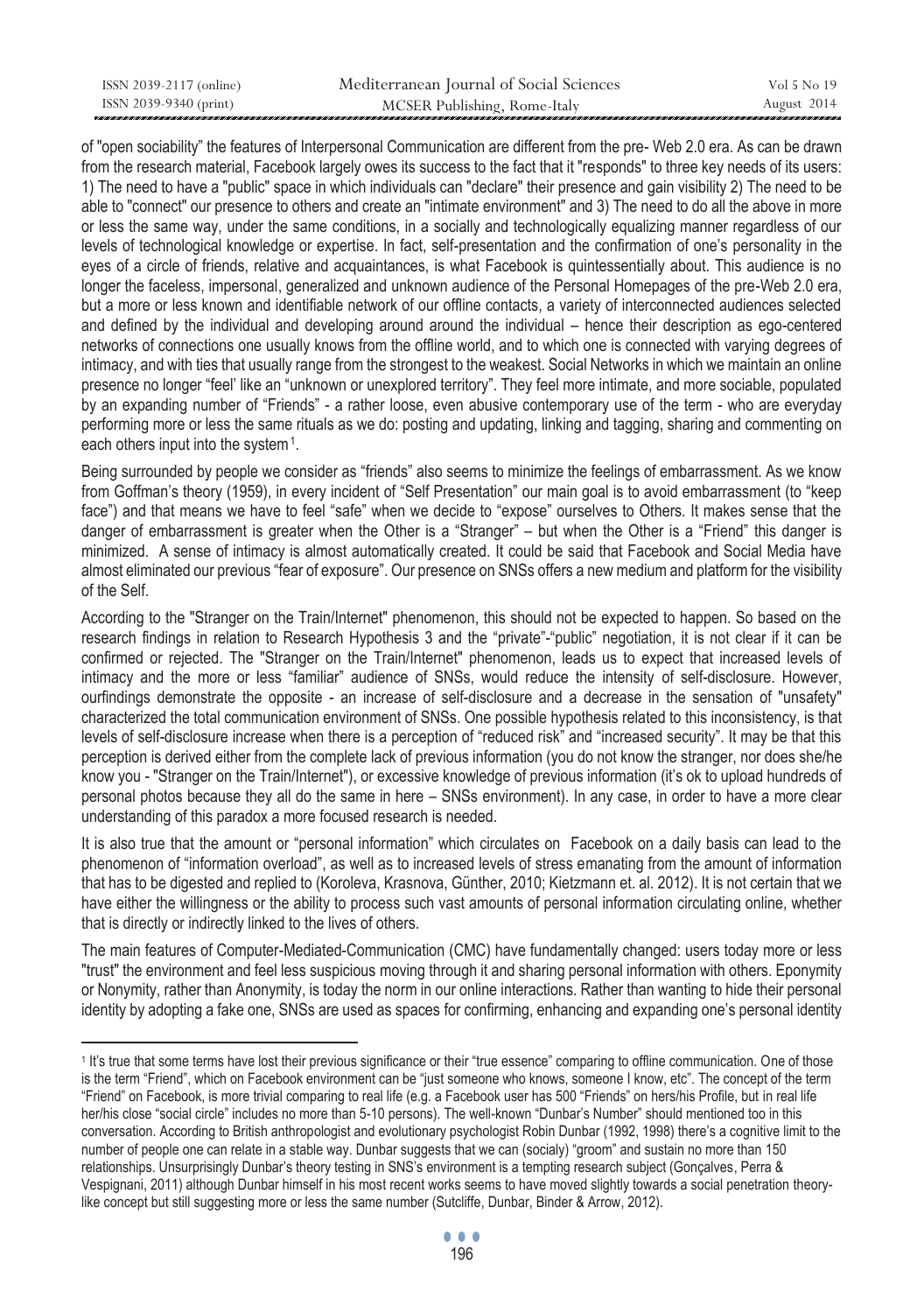| ISSN 2039-2117 (online) | Mediterranean Journal of Social Sciences | Vol 5 No 19 |
|-------------------------|------------------------------------------|-------------|
| ISSN 2039-9340 (print)  | MCSER Publishing, Rome-Italy             | August 2014 |

of "open sociability" the features of Interpersonal Communication are different from the pre- Web 2.0 era. As can be drawn from the research material, Facebook largely owes its success to the fact that it "responds" to three key needs of its users: 1) The need to have a "public" space in which individuals can "declare" their presence and gain visibility 2) The need to be able to "connect" our presence to others and create an "intimate environment" and 3) The need to do all the above in more or less the same way, under the same conditions, in a socially and technologically equalizing manner regardless of our levels of technological knowledge or expertise. In fact, self-presentation and the confirmation of one's personality in the eyes of a circle of friends, relative and acquaintances, is what Facebook is quintessentially about. This audience is no longer the faceless, impersonal, generalized and unknown audience of the Personal Homepages of the pre-Web 2.0 era, but a more or less known and identifiable network of our offline contacts, a variety of interconnected audiences selected and defined by the individual and developing around around the individual – hence their description as ego-centered networks of connections one usually knows from the offline world, and to which one is connected with varying degrees of intimacy, and with ties that usually range from the strongest to the weakest. Social Networks in which we maintain an online presence no longer "feel' like an "unknown or unexplored territory". They feel more intimate, and more sociable, populated by an expanding number of "Friends" - a rather loose, even abusive contemporary use of the term - who are everyday performing more or less the same rituals as we do: posting and updating, linking and tagging, sharing and commenting on each others input into the system<sup>1</sup>.

Being surrounded by people we consider as "friends" also seems to minimize the feelings of embarrassment. Αs we know from Goffman's theory (1959), in every incident of "Self Presentation" our main goal is to avoid embarrassment (to "keep face") and that means we have to feel "safe" when we decide to "expose" ourselves to Others. It makes sense that the danger of embarrassment is greater when the Other is a "Stranger" – but when the Other is a "Friend" this danger is minimized. A sense of intimacy is almost automatically created. It could be said that Facebook and Social Media have almost eliminated our previous "fear of exposure". Our presence on SNSs offers a new medium and platform for the visibility of the Self.

According to the "Stranger on the Train/Internet" phenomenon, this should not be expected to happen. So based on the research findings in relation to Research Hypothesis 3 and the "private"-"public" negotiation, it is not clear if it can be confirmed or rejected. The "Stranger on the Train/Internet" phenomenon, leads us to expect that increased levels of intimacy and the more or less "familiar" audience of SNSs, would reduce the intensity of self-disclosure. However, ourfindings demonstrate the opposite - an increase of self-disclosure and a decrease in the sensation of "unsafety" characterized the total communication environment of SNSs. One possible hypothesis related to this inconsistency, is that levels of self-disclosure increase when there is a perception of "reduced risk" and "increased security". It may be that this perception is derived either from the complete lack of previous information (you do not know the stranger, nor does she/he know you - "Stranger on the Train/Internet"), or excessive knowledge of previous information (it's ok to upload hundreds of personal photos because they all do the same in here – SNSs environment). In any case, in order to have a more clear understanding of this paradox a more focused research is needed.

It is also true that the amount or "personal information" which circulates on Facebook on a daily basis can lead to the phenomenon of "information overload", as well as to increased levels of stress emanating from the amount of information that has to be digested and replied to (Koroleva, Krasnova, Günther, 2010; Kietzmann et. al. 2012). It is not certain that we have either the willingness or the ability to process such vast amounts of personal information circulating online, whether that is directly or indirectly linked to the lives of others.

The main features of Computer-Mediated-Communication (CMC) have fundamentally changed: users today more or less "trust" the environment and feel less suspicious moving through it and sharing personal information with others. Eponymity or Nonymity, rather than Anonymity, is today the norm in our online interactions. Rather than wanting to hide their personal identity by adopting a fake one, SNSs are used as spaces for confirming, enhancing and expanding one's personal identity

 $\overline{a}$ 

<sup>1</sup> It's true that some terms have lost their previous significance or their "true essence" comparing to offline communication. One of those is the term "Friend", which on Facebook environment can be "just someone who knows, someone I know, etc". The concept of the term "Friend" on Facebook, is more trivial comparing to real life (e.g. a Facebook user has 500 "Friends" on hers/his Profile, but in real life her/his close "social circle" includes no more than 5-10 persons). The well-known "Dunbar's Number" should mentioned too in this conversation. According to British anthropologist and evolutionary psychologist Robin Dunbar (1992, 1998) there's a cognitive limit to the number of people one can relate in a stable way. Dunbar suggests that we can (socialy) "groom" and sustain no more than 150 relationships. Unsurprisingly Dunbar's theory testing in SNS's environment is a tempting research subject (Gonçalves, Perra & Vespignani, 2011) although Dunbar himself in his most recent works seems to have moved slightly towards a social penetration theorylike concept but still suggesting more or less the same number (Sutcliffe, Dunbar, Binder & Arrow, 2012).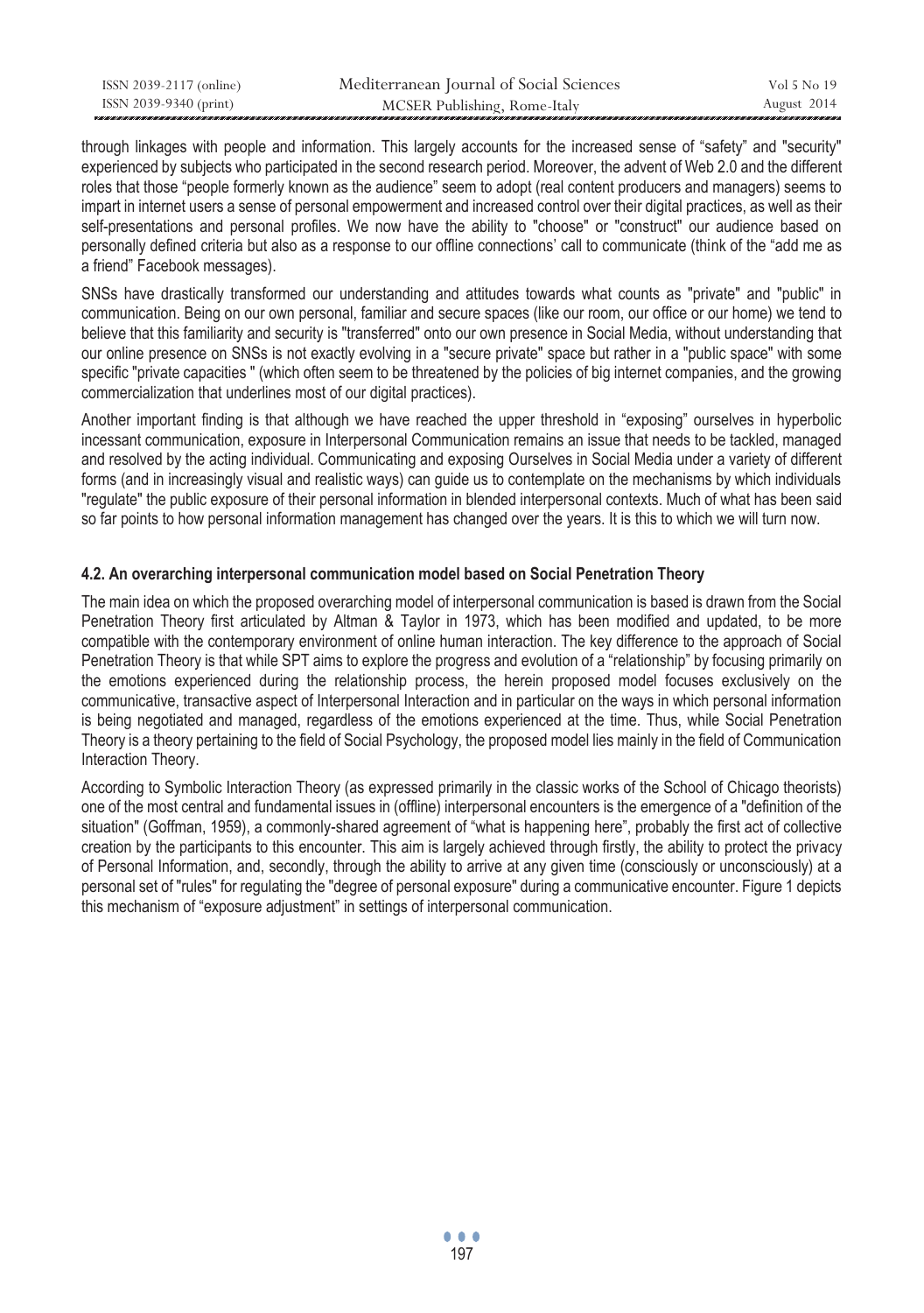| ISSN 2039-2117 (online) | Mediterranean Journal of Social Sciences | Vol 5 No 19 |
|-------------------------|------------------------------------------|-------------|
| ISSN 2039-9340 (print)  | MCSER Publishing, Rome-Italy             | August 2014 |

through linkages with people and information. This largely accounts for the increased sense of "safety" and "security" experienced by subjects who participated in the second research period. Moreover, the advent of Web 2.0 and the different roles that those "people formerly known as the audience" seem to adopt (real content producers and managers) seems to impart in internet users a sense of personal empowerment and increased control over their digital practices, as well as their self-presentations and personal profiles. We now have the ability to "choose" or "construct" our audience based on personally defined criteria but also as a response to our offline connections' call to communicate (think of the "add me as a friend" Facebook messages).

SNSs have drastically transformed our understanding and attitudes towards what counts as "private" and "public" in communication. Being on our own personal, familiar and secure spaces (like our room, our office or our home) we tend to believe that this familiarity and security is "transferred" onto our own presence in Social Media, without understanding that our online presence on SNSs is not exactly evolving in a "secure private" space but rather in a "public space" with some specific "private capacities " (which often seem to be threatened by the policies of big internet companies, and the growing commercialization that underlines most of our digital practices).

Another important finding is that although we have reached the upper threshold in "exposing" ourselves in hyperbolic incessant communication, exposure in Interpersonal Communication remains an issue that needs to be tackled, managed and resolved by the acting individual. Communicating and exposing Ourselves in Social Media under a variety of different forms (and in increasingly visual and realistic ways) can guide us to contemplate on the mechanisms by which individuals "regulate" the public exposure of their personal information in blended interpersonal contexts. Much of what has been said so far points to how personal information management has changed over the years. It is this to which we will turn now.

#### **4.2. An overarching interpersonal communication model based on Social Penetration Theory**

The main idea on which the proposed overarching model of interpersonal communication is based is drawn from the Social Penetration Theory first articulated by Altman & Taylor in 1973, which has been modified and updated, to be more compatible with the contemporary environment of online human interaction. The key difference to the approach of Social Penetration Theory is that while SPT aims to explore the progress and evolution of a "relationship" by focusing primarily on the emotions experienced during the relationship process, the herein proposed model focuses exclusively on the communicative, transactive aspect of Interpersonal Interaction and in particular on the ways in which personal information is being negotiated and managed, regardless of the emotions experienced at the time. Thus, while Social Penetration Theory is a theory pertaining to the field of Social Psychology, the proposed model lies mainly in the field of Communication Interaction Theory.

According to Symbolic Interaction Theory (as expressed primarily in the classic works of the School of Chicago theorists) one of the most central and fundamental issues in (offline) interpersonal encounters is the emergence of a "definition of the situation" (Goffman, 1959), a commonly-shared agreement of "what is happening here", probably the first act of collective creation by the participants to this encounter. This aim is largely achieved through firstly, the ability to protect the privacy of Personal Information, and, secondly, through the ability to arrive at any given time (consciously or unconsciously) at a personal set of "rules" for regulating the "degree of personal exposure" during a communicative encounter. Figure 1 depicts this mechanism of "exposure adjustment" in settings of interpersonal communication.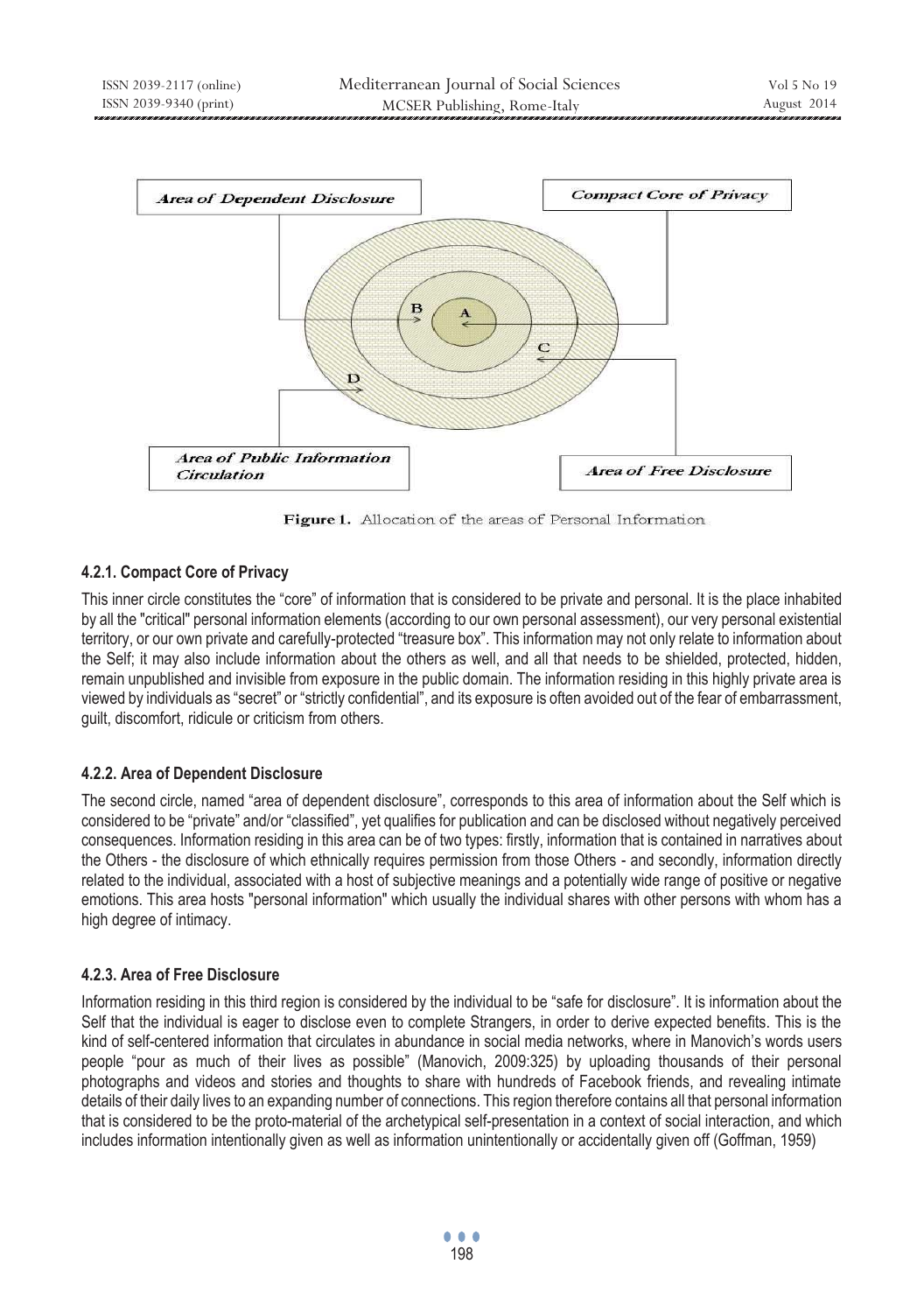

Figure 1. Allocation of the areas of Personal Information

# **4.2.1. Compact Core of Privacy**

This inner circle constitutes the "core" of information that is considered to be private and personal. It is the place inhabited by all the "critical" personal information elements (according to our own personal assessment), our very personal existential territory, or our own private and carefully-protected "treasure box". This information may not only relate to information about the Self; it may also include information about the others as well, and all that needs to be shielded, protected, hidden, remain unpublished and invisible from exposure in the public domain. The information residing in this highly private area is viewed by individuals as "secret" or "strictly confidential", and its exposure is often avoided out of the fear of embarrassment, guilt, discomfort, ridicule or criticism from others.

# **4.2.2. Area of Dependent Disclosure**

The second circle, named "area of dependent disclosure", corresponds to this area of information about the Self which is considered to be "private" and/or "classified", yet qualifies for publication and can be disclosed without negatively perceived consequences. Information residing in this area can be of two types: firstly, information that is contained in narratives about the Others - the disclosure of which ethnically requires permission from those Others - and secondly, information directly related to the individual, associated with a host of subjective meanings and a potentially wide range of positive or negative emotions. This area hosts "personal information" which usually the individual shares with other persons with whom has a high degree of intimacy.

# **4.2.3. Area of Free Disclosure**

Information residing in this third region is considered by the individual to be "safe for disclosure". It is information about the Self that the individual is eager to disclose even to complete Strangers, in order to derive expected benefits. This is the kind of self-centered information that circulates in abundance in social media networks, where in Manovich's words users people "pour as much of their lives as possible" (Manovich, 2009:325) by uploading thousands of their personal photographs and videos and stories and thoughts to share with hundreds of Facebook friends, and revealing intimate details of their daily lives to an expanding number of connections. This region therefore contains all that personal information that is considered to be the proto-material of the archetypical self-presentation in a context of social interaction, and which includes information intentionally given as well as information unintentionally or accidentally given off (Goffman, 1959)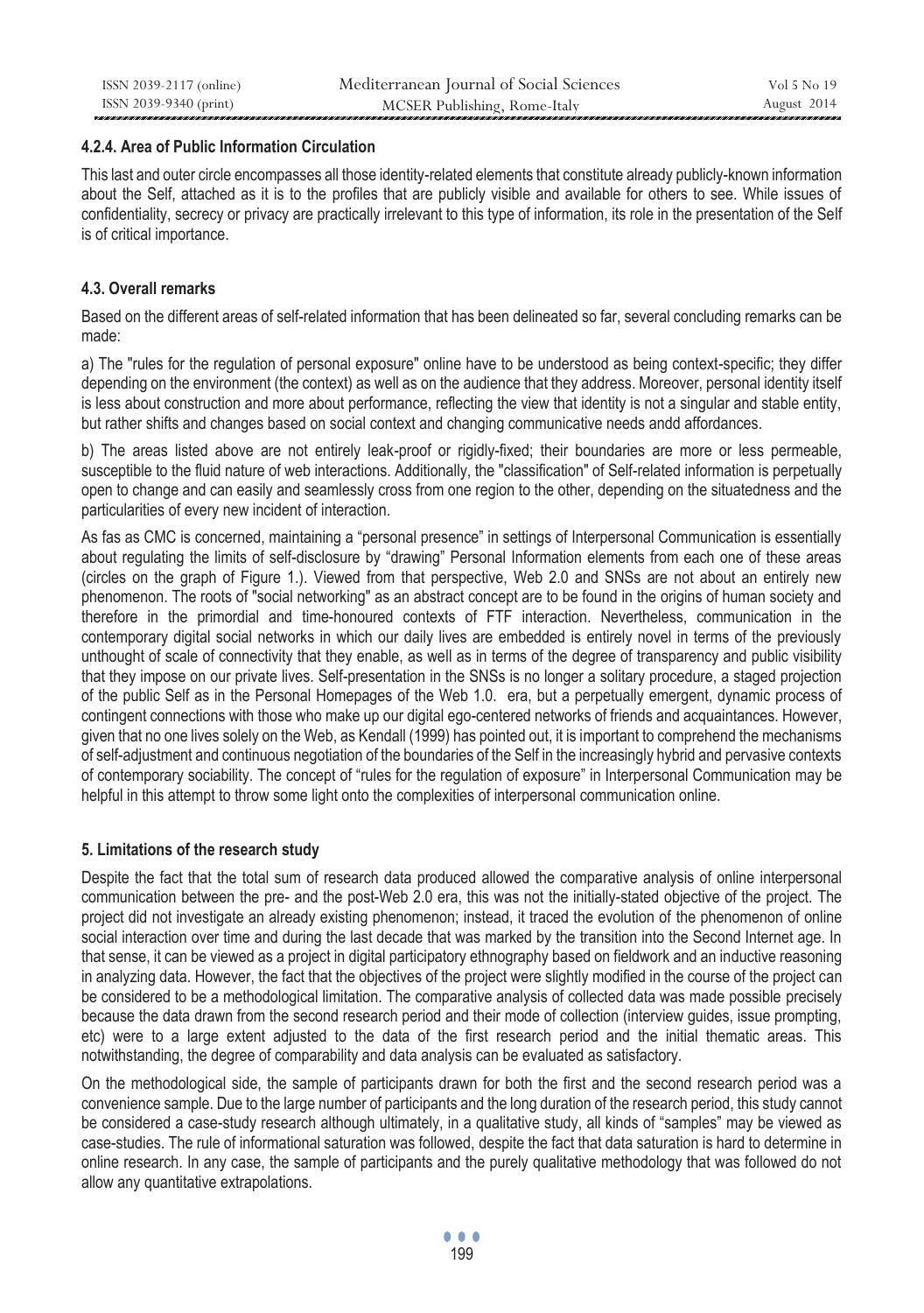### **4.2.4. Area of Public Information Circulation**

This last and outer circle encompasses all those identity-related elements that constitute already publicly-known information about the Self, attached as it is to the profiles that are publicly visible and available for others to see. While issues of confidentiality, secrecy or privacy are practically irrelevant to this type of information, its role in the presentation of the Self is of critical importance.

# **4.3. Overall remarks**

Based on the different areas of self-related information that has been delineated so far, several concluding remarks can be made:

a) The "rules for the regulation of personal exposure" online have to be understood as being context-specific; they differ depending on the environment (the context) as well as on the audience that they address. Moreover, personal identity itself is less about construction and more about performance, reflecting the view that identity is not a singular and stable entity, but rather shifts and changes based on social context and changing communicative needs andd affordances.

b) The areas listed above are not entirely leak-proof or rigidly-fixed; their boundaries are more or less permeable, susceptible to the fluid nature of web interactions. Additionally, the "classification" of Self-related information is perpetually open to change and can easily and seamlessly cross from one region to the other, depending on the situatedness and the particularities of every new incident of interaction.

As fas as CMC is concerned, maintaining a "personal presence" in settings of Interpersonal Communication is essentially about regulating the limits of self-disclosure by "drawing" Personal Information elements from each one of these areas (circles on the graph of Figure 1.). Viewed from that perspective, Web 2.0 and SNSs are not about an entirely new phenomenon. The roots of "social networking" as an abstract concept are to be found in the origins of human society and therefore in the primordial and time-honoured contexts of FTF interaction. Nevertheless, communication in the contemporary digital social networks in which our daily lives are embedded is entirely novel in terms of the previously unthought of scale of connectivity that they enable, as well as in terms of the degree of transparency and public visibility that they impose on our private lives. Self-presentation in the SNSs is no longer a solitary procedure, a staged projection of the public Self as in the Personal Homepages of the Web 1.0. era, but a perpetually emergent, dynamic process of contingent connections with those who make up our digital ego-centered networks of friends and acquaintances. However, given that no one lives solely on the Web, as Kendall (1999) has pointed out, it is important to comprehend the mechanisms of self-adjustment and continuous negotiation of the boundaries of the Self in the increasingly hybrid and pervasive contexts of contemporary sociability. The concept of "rules for the regulation of exposure" in Interpersonal Communication may be helpful in this attempt to throw some light onto the complexities of interpersonal communication online.

# **5. Limitations of the research study**

Despite the fact that the total sum of research data produced allowed the comparative analysis of online interpersonal communication between the pre- and the post-Web 2.0 era, this was not the initially-stated objective of the project. The project did not investigate an already existing phenomenon; instead, it traced the evolution of the phenomenon of online social interaction over time and during the last decade that was marked by the transition into the Second Internet age. In that sense, it can be viewed as a project in digital participatory ethnography based on fieldwork and an inductive reasoning in analyzing data. However, the fact that the objectives of the project were slightly modified in the course of the project can be considered to be a methodological limitation. The comparative analysis of collected data was made possible precisely because the data drawn from the second research period and their mode of collection (interview guides, issue prompting, etc) were to a large extent adjusted to the data of the first research period and the initial thematic areas. This notwithstanding, the degree of comparability and data analysis can be evaluated as satisfactory.

On the methodological side, the sample of participants drawn for both the first and the second research period was a convenience sample. Due to the large number of participants and the long duration of the research period, this study cannot be considered a case-study research although ultimately, in a qualitative study, all kinds of "samples" may be viewed as case-studies. The rule of informational saturation was followed, despite the fact that data saturation is hard to determine in online research. In any case, the sample of participants and the purely qualitative methodology that was followed do not allow any quantitative extrapolations.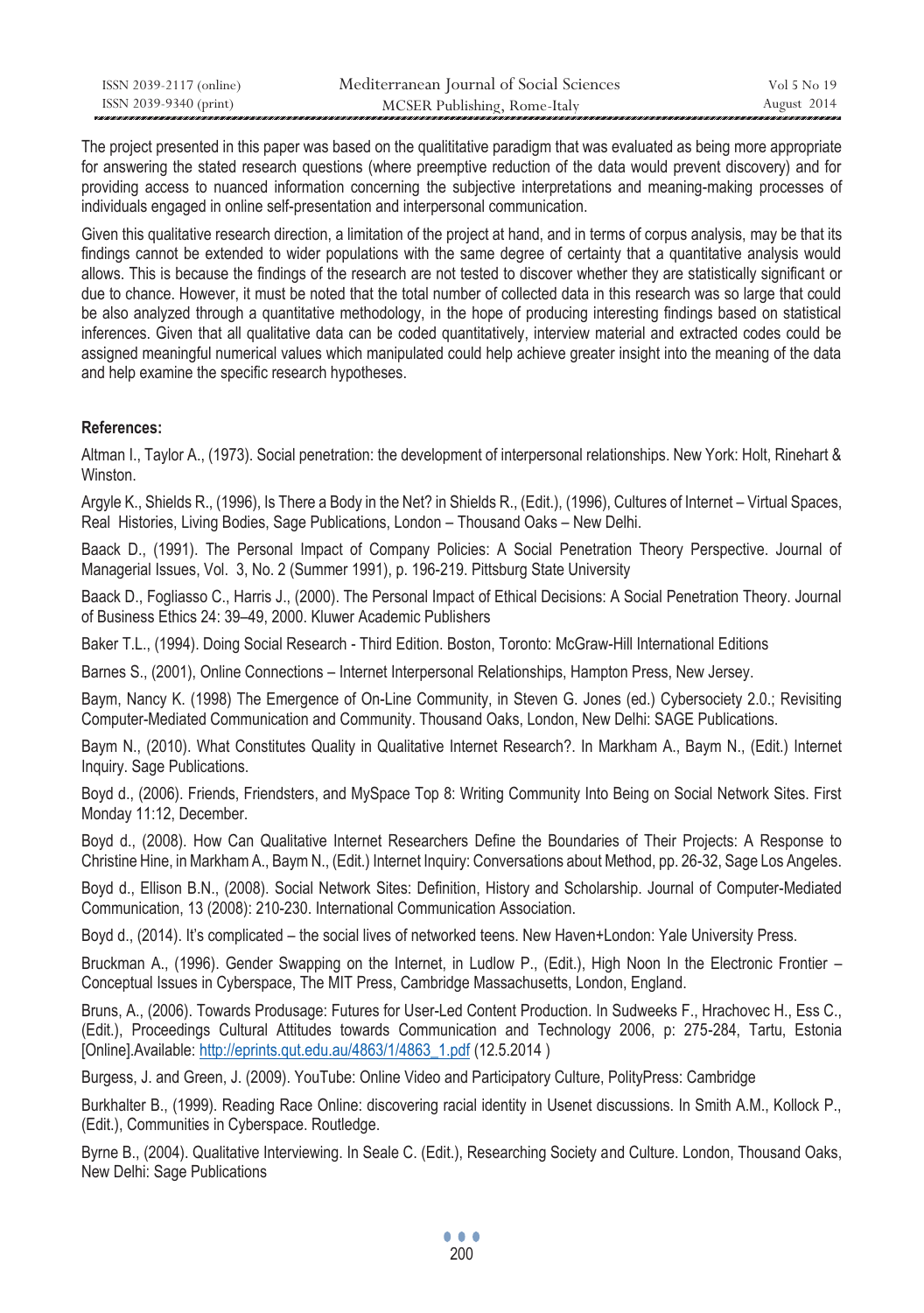| ISSN 2039-2117 (online) | Mediterranean Journal of Social Sciences | Vol 5 No 19 |
|-------------------------|------------------------------------------|-------------|
| ISSN 2039-9340 (print)  | MCSER Publishing, Rome-Italy             | August 2014 |

The project presented in this paper was based on the qualititative paradigm that was evaluated as being more appropriate for answering the stated research questions (where preemptive reduction of the data would prevent discovery) and for providing access to nuanced information concerning the subjective interpretations and meaning-making processes of individuals engaged in online self-presentation and interpersonal communication.

Given this qualitative research direction, a limitation of the project at hand, and in terms of corpus analysis, may be that its findings cannot be extended to wider populations with the same degree of certainty that a quantitative analysis would allows. This is because the findings of the research are not tested to discover whether they are statistically significant or due to chance. However, it must be noted that the total number of collected data in this research was so large that could be also analyzed through a quantitative methodology, in the hope of producing interesting findings based on statistical inferences. Given that all qualitative data can be coded quantitatively, interview material and extracted codes could be assigned meaningful numerical values which manipulated could help achieve greater insight into the meaning of the data and help examine the specific research hypotheses.

### **References:**

Altman I., Taylor A., (1973). Social penetration: the development of interpersonal relationships. New York: Holt, Rinehart & Winston.

Argyle K., Shields R., (1996), Is There a Body in the Net? in Shields R., (Edit.), (1996), Cultures of Internet – Virtual Spaces, Real Histories, Living Bodies, Sage Publications, London – Thousand Oaks – New Delhi.

Baack D., (1991). The Personal Impact of Company Policies: A Social Penetration Theory Perspective. Journal of Managerial Issues, Vol. 3, No. 2 (Summer 1991), p. 196-219. Pittsburg State University

Baack D., Fogliasso C., Harris J., (2000). The Personal Impact of Ethical Decisions: A Social Penetration Theory. Journal of Business Ethics 24: 39–49, 2000. Kluwer Academic Publishers

Baker T.L., (1994). Doing Social Research - Third Edition. Boston, Toronto: McGraw-Hill International Editions

Barnes S., (2001), Online Connections – Internet Interpersonal Relationships, Hampton Press, New Jersey.

Baym, Nancy K. (1998) The Emergence of On-Line Community, in Steven G. Jones (ed.) Cybersociety 2.0.; Revisiting Computer-Mediated Communication and Community. Thousand Oaks, London, New Delhi: SAGE Publications.

Baym N., (2010). What Constitutes Quality in Qualitative Internet Research?. In Markham A., Baym N., (Edit.) Internet Inquiry. Sage Publications.

Boyd d., (2006). Friends, Friendsters, and MySpace Top 8: Writing Community Into Being on Social Network Sites. First Monday 11:12, December.

Boyd d., (2008). How Can Qualitative Internet Researchers Define the Boundaries of Their Projects: A Response to Christine Hine, in Markham A., Baym N., (Edit.) Internet Inquiry: Conversations about Method, pp. 26-32, Sage Los Angeles.

Boyd d., Ellison B.N., (2008). Social Network Sites: Definition, History and Scholarship. Journal of Computer-Mediated Communication, 13 (2008): 210-230. International Communication Association.

Boyd d., (2014). It's complicated – the social lives of networked teens. New Haven+London: Yale University Press.

Bruckman A., (1996). Gender Swapping on the Internet, in Ludlow P., (Edit.), High Noon In the Electronic Frontier – Conceptual Issues in Cyberspace, The MIT Press, Cambridge Massachusetts, London, England.

Bruns, A., (2006). Towards Produsage: Futures for User-Led Content Production. In Sudweeks F., Hrachovec H., Ess C., (Edit.), Proceedings Cultural Attitudes towards Communication and Technology 2006, p: 275-284, Tartu, Estonia [Online].Available: http://eprints.qut.edu.au/4863/1/4863\_1.pdf (12.5.2014 )

Burgess, J. and Green, J. (2009). YouTube: Online Video and Participatory Culture, PolityPress: Cambridge

Burkhalter B., (1999). Reading Race Online: discovering racial identity in Usenet discussions. In Smith A.M., Kollock P., (Edit.), Communities in Cyberspace. Routledge.

Byrne B., (2004). Qualitative Interviewing. In Seale C. (Edit.), Researching Society and Culture. London, Thousand Oaks, New Delhi: Sage Publications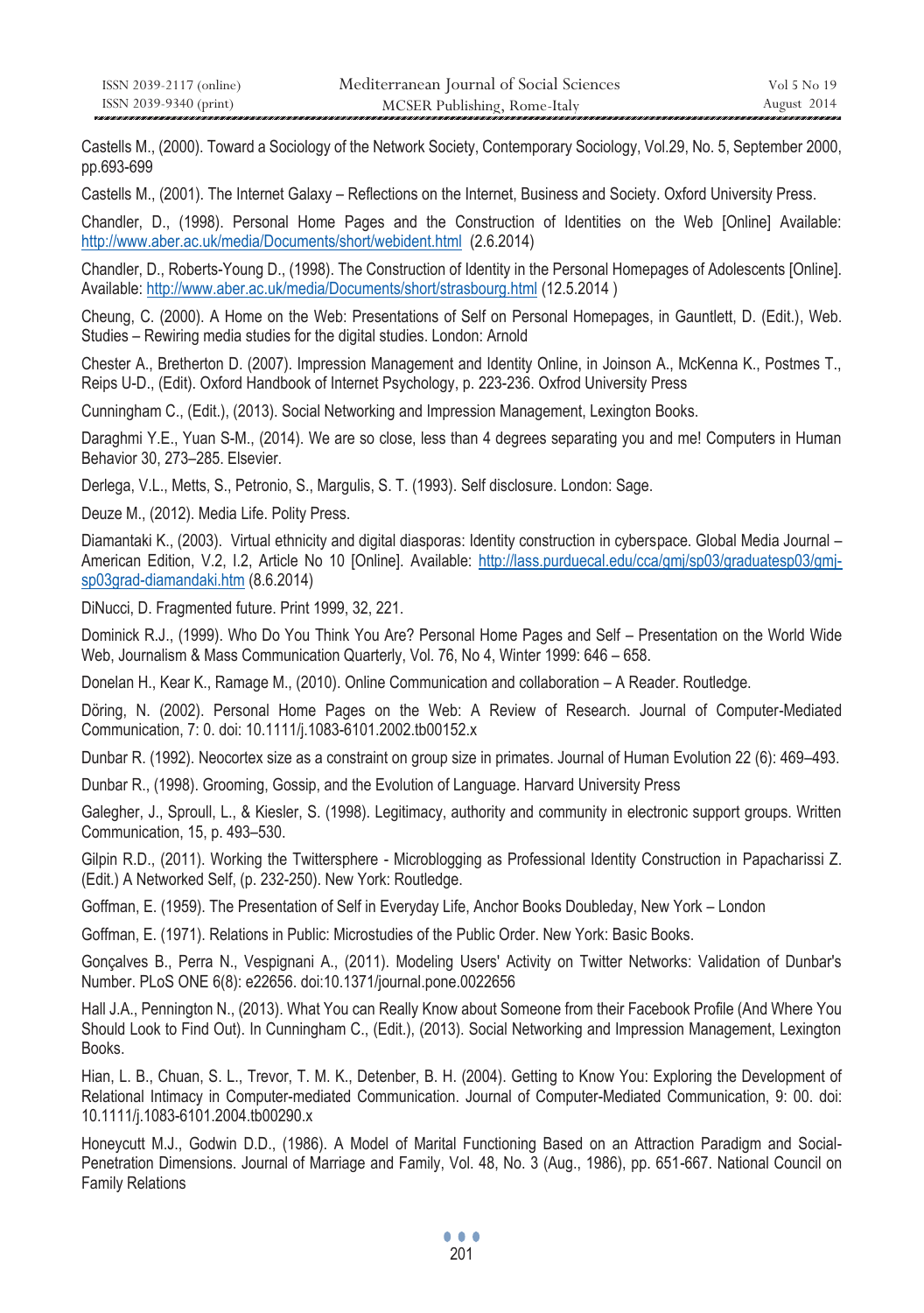| ISSN 2039-2117 (online) | Mediterranean Journal of Social Sciences | Vol 5 No 19 |
|-------------------------|------------------------------------------|-------------|
| ISSN 2039-9340 (print)  | MCSER Publishing, Rome-Italy             | August 2014 |

Castells M., (2000). Toward a Sociology of the Network Society, Contemporary Sociology, Vol.29, No. 5, September 2000, pp.693-699

Castells M., (2001). The Internet Galaxy – Reflections on the Internet, Business and Society. Oxford University Press.

Chandler, D., (1998). Personal Home Pages and the Construction of Identities on the Web [Online] Available: http://www.aber.ac.uk/media/Documents/short/webident.html (2.6.2014)

Chandler, D., Roberts-Young D., (1998). The Construction of Identity in the Personal Homepages of Adolescents [Online]. Available: http://www.aber.ac.uk/media/Documents/short/strasbourg.html (12.5.2014 )

Cheung, C. (2000). A Home on the Web: Presentations of Self on Personal Homepages, in Gauntlett, D. (Edit.), Web. Studies – Rewiring media studies for the digital studies. London: Arnold

Chester A., Bretherton D. (2007). Impression Management and Identity Online, in Joinson A., McKenna K., Postmes T., Reips U-D., (Edit). Oxford Handbook of Internet Psychology, p. 223-236. Oxfrod University Press

Cunningham C., (Edit.), (2013). Social Networking and Impression Management, Lexington Books.

Daraghmi Υ.Ε., Yuan S-M., (2014). We are so close, less than 4 degrees separating you and me! Computers in Human Behavior 30, 273–285. Elsevier.

Derlega, V.L., Metts, S., Petronio, S., Margulis, S. T. (1993). Self disclosure. London: Sage.

Deuze M., (2012). Media Life. Polity Press.

Diamantaki K., (2003). Virtual ethnicity and digital diasporas: Identity construction in cyberspace. Global Media Journal – American Edition, V.2, I.2, Article No 10 [Online]. Available: http://lass.purduecal.edu/cca/gmj/sp03/graduatesp03/gmjsp03grad-diamandaki.htm (8.6.2014)

DiNucci, D. Fragmented future. Print 1999, 32, 221.

Dominick R.J., (1999). Who Do You Think You Are? Personal Home Pages and Self – Presentation on the World Wide Web, Journalism & Mass Communication Quarterly, Vol. 76, No 4, Winter 1999: 646 – 658.

Donelan H., Kear K., Ramage M., (2010). Online Communication and collaboration – A Reader. Routledge.

Döring, N. (2002). Personal Home Pages on the Web: A Review of Research. Journal of Computer-Mediated Communication, 7: 0. doi: 10.1111/j.1083-6101.2002.tb00152.x

Dunbar R. (1992). Neocortex size as a constraint on group size in primates. Journal of Human Evolution 22 (6): 469–493.

Dunbar R., (1998). Grooming, Gossip, and the Evolution of Language. Harvard University Press

Galegher, J., Sproull, L., & Kiesler, S. (1998). Legitimacy, authority and community in electronic support groups. Written Communication, 15, p. 493–530.

Gilpin R.D., (2011). Working the Twittersphere - Microblogging as Professional Identity Construction in Papacharissi Z. (Edit.) A Networked Self, (p. 232-250). New York: Routledge.

Goffman, E. (1959). The Presentation of Self in Everyday Life, Anchor Books Doubleday, New York – London

Goffman, Ε. (1971). Relations in Public: Microstudies of the Public Order. New York: Basic Books.

Gonçalves B., Perra N., Vespignani A., (2011). Modeling Users' Activity on Twitter Networks: Validation of Dunbar's Number. PLoS ONE 6(8): e22656. doi:10.1371/journal.pone.0022656

Hall J.A., Pennington N., (2013). What You can Really Know about Someone from their Facebook Profile (And Where You Should Look to Find Out). In Cunningham C., (Edit.), (2013). Social Networking and Impression Management, Lexington Books.

Hian, L. B., Chuan, S. L., Trevor, T. M. K., Detenber, B. H. (2004). Getting to Know You: Exploring the Development of Relational Intimacy in Computer-mediated Communication. Journal of Computer-Mediated Communication, 9: 00. doi: 10.1111/j.1083-6101.2004.tb00290.x

Honeycutt M.J., Godwin D.D., (1986). A Model of Marital Functioning Based on an Attraction Paradigm and Social-Penetration Dimensions. Journal of Marriage and Family, Vol. 48, No. 3 (Aug., 1986), pp. 651-667. National Council on Family Relations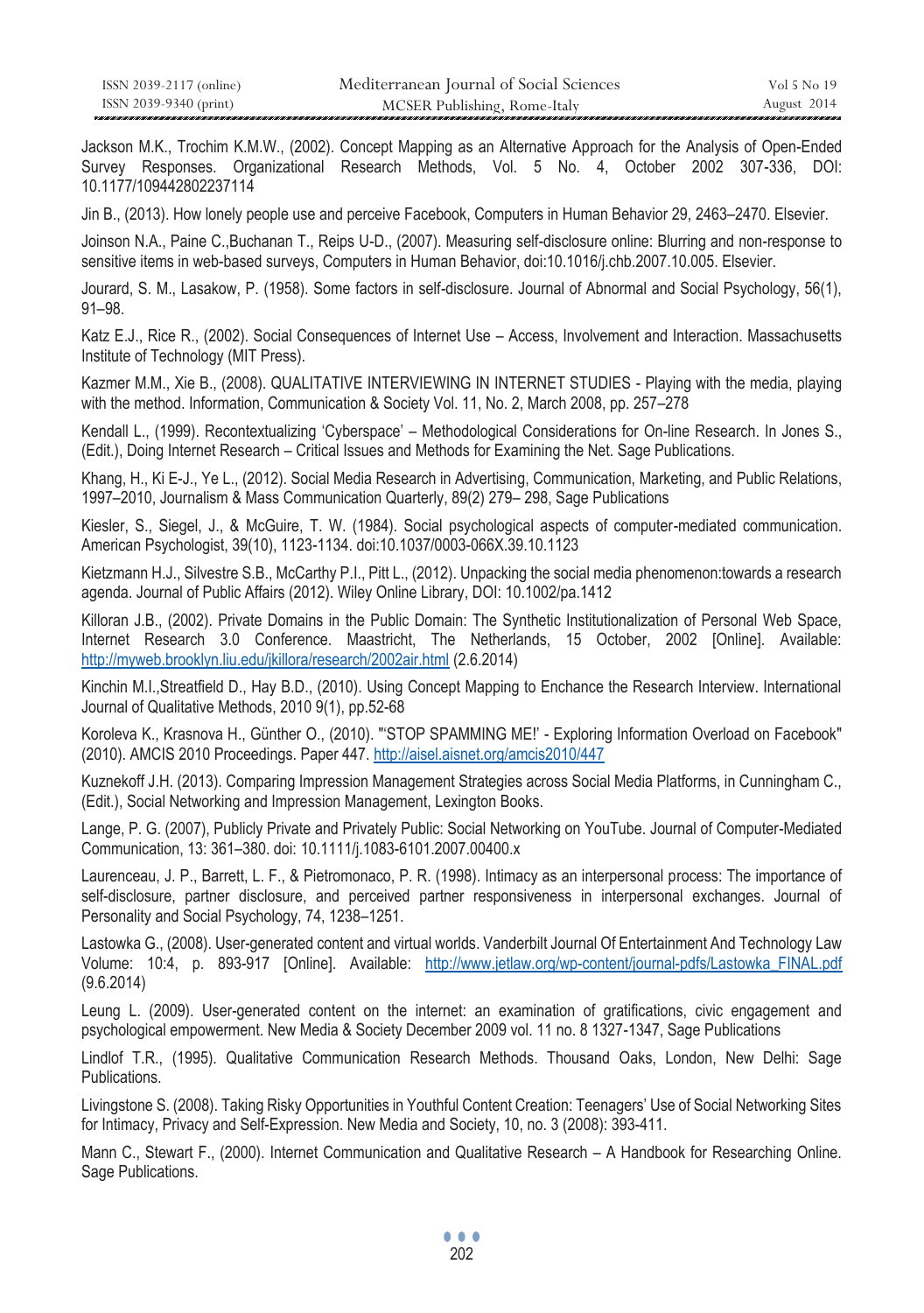| ISSN 2039-2117 (online) | Mediterranean Journal of Social Sciences | Vol 5 No 19 |
|-------------------------|------------------------------------------|-------------|
| ISSN 2039-9340 (print)  | MCSER Publishing, Rome-Italy             | August 2014 |

Jackson M.K., Trochim K.M.W., (2002). Concept Mapping as an Alternative Approach for the Analysis of Open-Ended Survey Responses. Organizational Research Methods, Vol. 5 No. 4, October 2002 307-336, DOI: 10.1177/109442802237114

Jin Β., (2013). How lonely people use and perceive Facebook, Computers in Human Behavior 29, 2463–2470. Elsevier.

Joinson N.A., Paine C.,Buchanan T., Reips U-D., (2007). Measuring self-disclosure online: Blurring and non-response to sensitive items in web-based surveys, Computers in Human Behavior, doi:10.1016/j.chb.2007.10.005. Elsevier.

Jourard, S. M., Lasakow, P. (1958). Some factors in self-disclosure. Journal of Abnormal and Social Psychology, 56(1), 91–98.

Katz E.J., Rice R., (2002). Social Consequences of Internet Use – Access, Involvement and Interaction. Massachusetts Institute of Technology (MIT Press).

Kazmer M.M., Xie B., (2008). QUALITATIVE INTERVIEWING IN INTERNET STUDIES - Playing with the media, playing with the method. Information, Communication & Society Vol. 11, No. 2, March 2008, pp. 257–278

Kendall L., (1999). Recontextualizing 'Cyberspace' – Methodological Considerations for On-line Research. In Jones S., (Edit.), Doing Internet Research – Critical Issues and Methods for Examining the Net. Sage Publications.

Khang, H., Ki E-J., Ye L., (2012). Social Media Research in Advertising, Communication, Marketing, and Public Relations, 1997–2010, Journalism & Mass Communication Quarterly, 89(2) 279– 298, Sage Publications

Kiesler, S., Siegel, J., & McGuire, T. W. (1984). Social psychological aspects of computer-mediated communication. American Psychologist, 39(10), 1123-1134. doi:10.1037/0003-066X.39.10.1123

Kietzmann H.J., Silvestre S.B., McCarthy P.I., Pitt L., (2012). Unpacking the social media phenomenon:towards a research agenda. Journal of Public Affairs (2012). Wiley Online Library, DOI: 10.1002/pa.1412

Killoran J.B., (2002). Private Domains in the Public Domain: The Synthetic Institutionalization of Personal Web Space, Internet Research 3.0 Conference. Maastricht, The Netherlands, 15 October, 2002 [Online]. Available: http://myweb.brooklyn.liu.edu/jkillora/research/2002air.html (2.6.2014)

Kinchin M.I.,Streatfield D., Hay B.D., (2010). Using Concept Mapping to Enchance the Research Interview. International Journal of Qualitative Methods, 2010 9(1), pp.52-68

Koroleva K., Krasnova H., Günther O., (2010). "'STOP SPAMMING ME!' - Exploring Information Overload on Facebook" (2010). AMCIS 2010 Proceedings. Paper 447. http://aisel.aisnet.org/amcis2010/447

Kuznekoff J.H. (2013). Comparing Impression Management Strategies across Social Media Platforms, in Cunningham C., (Edit.), Social Networking and Impression Management, Lexington Books.

Lange, P. G. (2007), Publicly Private and Privately Public: Social Networking on YouTube. Journal of Computer-Mediated Communication, 13: 361–380. doi: 10.1111/j.1083-6101.2007.00400.x

Laurenceau, J. P., Barrett, L. F., & Pietromonaco, P. R. (1998). Intimacy as an interpersonal process: The importance of self-disclosure, partner disclosure, and perceived partner responsiveness in interpersonal exchanges. Journal of Personality and Social Psychology, 74, 1238–1251.

Lastowka G., (2008). User-generated content and virtual worlds. Vanderbilt Journal Of Entertainment And Technology Law Volume: 10:4, p. 893-917 [Online]. Available: http://www.jetlaw.org/wp-content/journal-pdfs/Lastowka\_FINAL.pdf (9.6.2014)

Leung L. (2009). User-generated content on the internet: an examination of gratifications, civic engagement and psychological empowerment. New Media & Society December 2009 vol. 11 no. 8 1327-1347, Sage Publications

Lindlof T.R., (1995). Qualitative Communication Research Methods. Thousand Oaks, London, New Delhi: Sage Publications.

Livingstone S. (2008). Taking Risky Opportunities in Youthful Content Creation: Teenagers' Use of Social Networking Sites for Intimacy, Privacy and Self-Expression. New Media and Society, 10, no. 3 (2008): 393-411.

Mann C., Stewart F., (2000). Internet Communication and Qualitative Research – A Handbook for Researching Online. Sage Publications.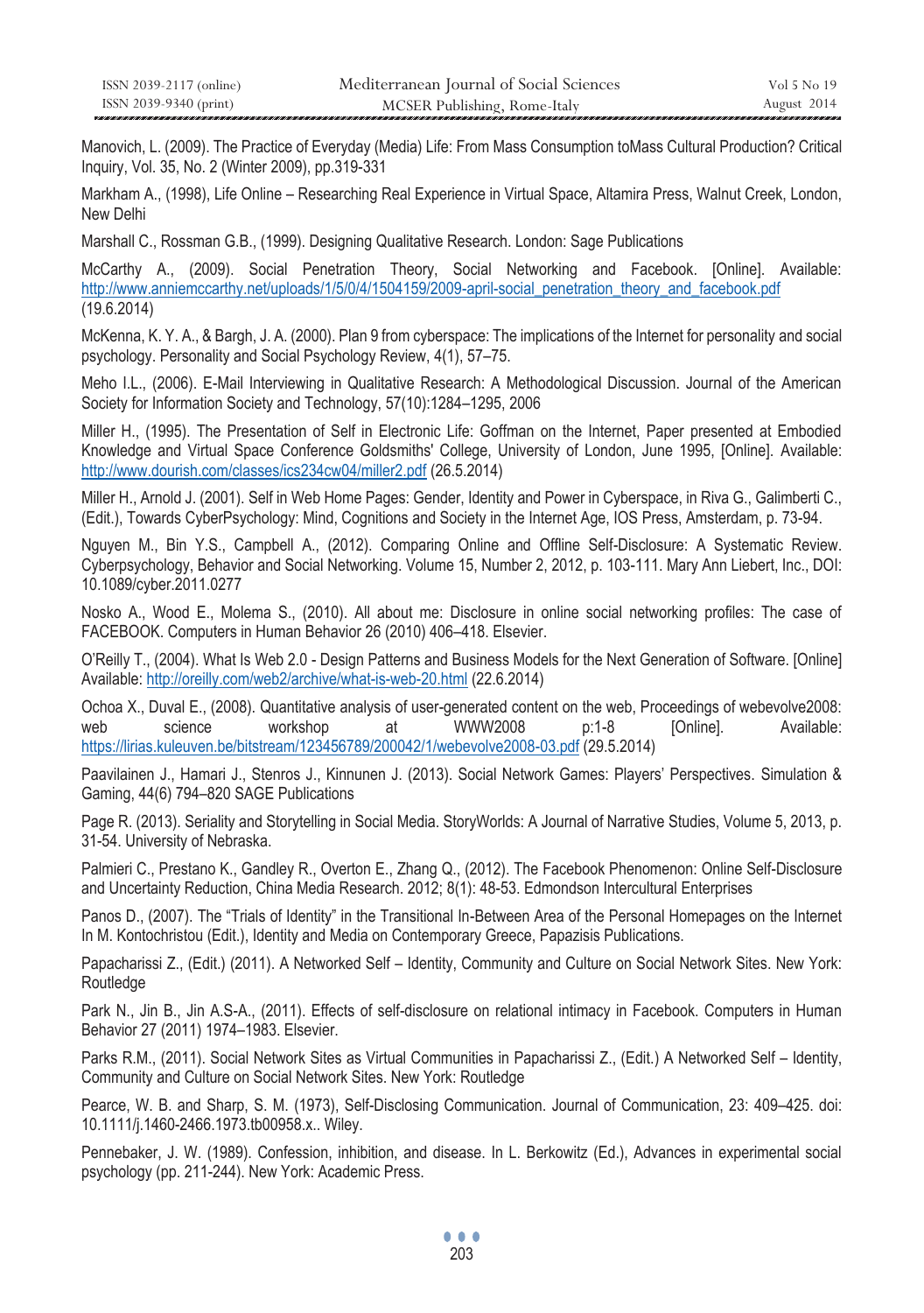| ISSN 2039-2117 (online) | Mediterranean Journal of Social Sciences | Vol 5 No 19 |
|-------------------------|------------------------------------------|-------------|
| ISSN 2039-9340 (print)  | MCSER Publishing, Rome-Italy             | August 2014 |

Manovich, L. (2009). The Practice of Everyday (Media) Life: From Mass Consumption toMass Cultural Production? Critical Inquiry, Vol. 35, No. 2 (Winter 2009), pp.319-331

Markham A., (1998), Life Online – Researching Real Experience in Virtual Space, Altamira Press, Walnut Creek, London, New Delhi

Marshall C., Rossman G.B., (1999). Designing Qualitative Research. London: Sage Publications

McCarthy A., (2009). Social Penetration Theory, Social Networking and Facebook. [Online]. Available: http://www.anniemccarthy.net/uploads/1/5/0/4/1504159/2009-april-social\_penetration\_theory\_and\_facebook.pdf (19.6.2014)

McKenna, K. Y. A., & Bargh, J. A. (2000). Plan 9 from cyberspace: The implications of the Internet for personality and social psychology. Personality and Social Psychology Review, 4(1), 57–75.

Meho I.L., (2006). E-Mail Interviewing in Qualitative Research: A Methodological Discussion. Journal of the American Society for Information Society and Technology, 57(10):1284–1295, 2006

Miller H., (1995). The Presentation of Self in Electronic Life: Goffman on the Internet, Paper presented at Embodied Knowledge and Virtual Space Conference Goldsmiths' College, University of London, June 1995, [Online]. Available: http://www.dourish.com/classes/ics234cw04/miller2.pdf (26.5.2014)

Miller H., Arnold J. (2001). Self in Web Home Pages: Gender, Identity and Power in Cyberspace, in Riva G., Galimberti C., (Edit.), Towards CyberPsychology: Mind, Cognitions and Society in the Internet Age, IOS Press, Amsterdam, p. 73-94.

Nguyen M., Bin Y.S., Campbell A., (2012). Comparing Online and Offline Self-Disclosure: A Systematic Review. Cyberpsychology, Behavior and Social Networking. Volume 15, Number 2, 2012, p. 103-111. Mary Ann Liebert, Inc., DOI: 10.1089/cyber.2011.0277

Nosko A., Wood E., Molema S., (2010). All about me: Disclosure in online social networking profiles: The case of FACEBOOK. Computers in Human Behavior 26 (2010) 406–418. Elsevier.

O'Reilly T., (2004). What Is Web 2.0 - Design Patterns and Business Models for the Next Generation of Software. [Online] Available: http://oreilly.com/web2/archive/what-is-web-20.html (22.6.2014)

Ochoa X., Duval E., (2008). Quantitative analysis of user-generated content on the web, Proceedings of webevolve2008: web science workshop at WWW2008 p:1-8 [Online]. Available: https://lirias.kuleuven.be/bitstream/123456789/200042/1/webevolve2008-03.pdf (29.5.2014)

Paavilainen J., Hamari J., Stenros J., Kinnunen J. (2013). Social Network Games: Players' Perspectives. Simulation & Gaming, 44(6) 794–820 SAGE Publications

Page R. (2013). Seriality and Storytelling in Social Media. StoryWorlds: A Journal of Narrative Studies, Volume 5, 2013, p. 31-54. University of Nebraska.

Palmieri C., Prestano K., Gandley R., Overton E., Zhang Q., (2012). The Facebook Phenomenon: Online Self-Disclosure and Uncertainty Reduction, China Media Research. 2012; 8(1): 48-53. Edmondson Intercultural Enterprises

Panos D., (2007). The "Trials of Identity" in the Transitional In-Between Area of the Personal Homepages on the Internet Ιn M. Kontochristou (Edit.), Identity and Media on Contemporary Greece, Papazisis Publications.

Papacharissi Z., (Edit.) (2011). A Networked Self – Identity, Community and Culture on Social Network Sites. New York: Routledge

Park N., Jin B., Jin A.S-A., (2011). Effects of self-disclosure on relational intimacy in Facebook. Computers in Human Behavior 27 (2011) 1974–1983. Elsevier.

Parks R.M., (2011). Social Network Sites as Virtual Communities in Papacharissi Z., (Edit.) A Networked Self – Identity, Community and Culture on Social Network Sites. New York: Routledge

Pearce, W. B. and Sharp, S. M. (1973), Self-Disclosing Communication. Journal of Communication, 23: 409–425. doi: 10.1111/j.1460-2466.1973.tb00958.x.. Wiley.

Pennebaker, J. W. (1989). Confession, inhibition, and disease. In L. Berkowitz (Ed.), Advances in experimental social psychology (pp. 211-244). New York: Academic Press.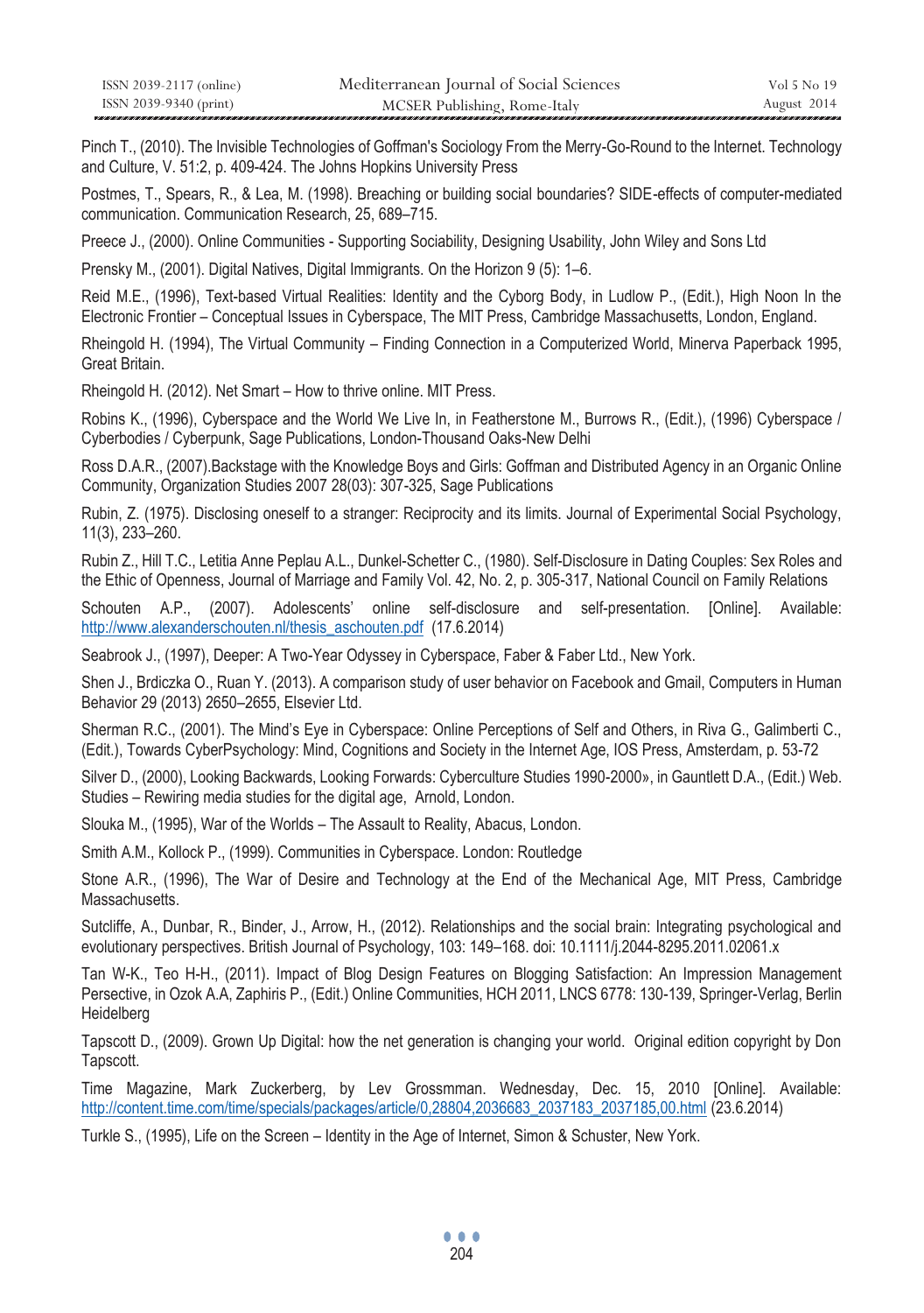| ISSN 2039-2117 (online) | Mediterranean Journal of Social Sciences | Vol 5 No 19 |
|-------------------------|------------------------------------------|-------------|
| ISSN 2039-9340 (print)  | MCSER Publishing, Rome-Italy             | August 2014 |

Pinch T., (2010). The Invisible Technologies of Goffman's Sociology From the Merry-Go-Round to the Internet. Technology and Culture, V. 51:2, p. 409-424. The Johns Hopkins University Press

Postmes, T., Spears, R., & Lea, M. (1998). Breaching or building social boundaries? SIDE-effects of computer-mediated communication. Communication Research, 25, 689–715.

Preece J., (2000). Online Communities - Supporting Sociability, Designing Usability, John Wiley and Sons Ltd

Prensky M., (2001). Digital Natives, Digital Immigrants. On the Horizon 9 (5): 1–6.

Reid M.E., (1996), Text-based Virtual Realities: Identity and the Cyborg Body, in Ludlow P., (Edit.), High Noon In the Electronic Frontier – Conceptual Issues in Cyberspace, The MIT Press, Cambridge Massachusetts, London, England.

Rheingold H. (1994), The Virtual Community – Finding Connection in a Computerized World, Minerva Paperback 1995, Great Britain.

Rheingold H. (2012). Net Smart – How to thrive online. MIT Press.

Robins K., (1996), Cyberspace and the World We Live In, in Featherstone M., Burrows R., (Edit.), (1996) Cyberspace / Cyberbodies / Cyberpunk, Sage Publications, London-Thousand Oaks-New Delhi

Ross D.A.R., (2007).Backstage with the Knowledge Boys and Girls: Goffman and Distributed Agency in an Organic Online Community, Organization Studies 2007 28(03): 307-325, Sage Publications

Rubin, Z. (1975). Disclosing oneself to a stranger: Reciprocity and its limits. Journal of Εxperimental Social Psychology, 11(3), 233–260.

Rubin Z., Hill T.C., Letitia Anne Peplau A.L., Dunkel-Schetter C., (1980). Self-Disclosure in Dating Couples: Sex Roles and the Ethic of Openness, Journal of Marriage and Family Vol. 42, No. 2, p. 305-317, National Council on Family Relations

Schouten A.P., (2007). Adolescents' online self-disclosure and self-presentation. [Online]. Available: http://www.alexanderschouten.nl/thesis\_aschouten.pdf (17.6.2014)

Seabrook J., (1997), Deeper: A Two-Year Odyssey in Cyberspace, Faber & Faber Ltd., New York.

Shen J., Brdiczka O., Ruan Y. (2013). A comparison study of user behavior on Facebook and Gmail, Computers in Human Behavior 29 (2013) 2650–2655, Elsevier Ltd.

Sherman R.C., (2001). The Mind's Eye in Cyberspace: Online Perceptions of Self and Others, in Riva G., Galimberti C., (Edit.), Towards CyberPsychology: Mind, Cognitions and Society in the Internet Age, IOS Press, Amsterdam, p. 53-72

Silver D., (2000), Looking Backwards, Looking Forwards: Cyberculture Studies 1990-2000», in Gauntlett D.A., (Edit.) Web. Studies – Rewiring media studies for the digital age, Arnold, London.

Slouka M., (1995), War of the Worlds – The Assault to Reality, Abacus, London.

Smith A.M., Kollock P., (1999). Communities in Cyberspace. London: Routledge

Stone A.R., (1996), The War of Desire and Technology at the End of the Mechanical Age, MIT Press, Cambridge Massachusetts.

Sutcliffe, A., Dunbar, R., Binder, J., Arrow, H., (2012). Relationships and the social brain: Integrating psychological and evolutionary perspectives. British Journal of Psychology, 103: 149–168. doi: 10.1111/j.2044-8295.2011.02061.x

Tan W-K., Teo H-H., (2011). Impact of Blog Design Features on Blogging Satisfaction: An Impression Management Persective, in Ozok A.A, Zaphiris P., (Edit.) Online Communities, HCH 2011, LNCS 6778: 130-139, Springer-Verlag, Berlin Heidelberg

Tapscott D., (2009). Grown Up Digital: how the net generation is changing your world. Original edition copyright by Don Tapscott.

Time Magazine, Mark Zuckerberg, by Lev Grossmman. Wednesday, Dec. 15, 2010 [Online]. Available: http://content.time.com/time/specials/packages/article/0,28804,2036683\_2037183\_2037185,00.html (23.6.2014)

Turkle S., (1995), Life on the Screen – Identity in the Age of Internet, Simon & Schuster, New York.